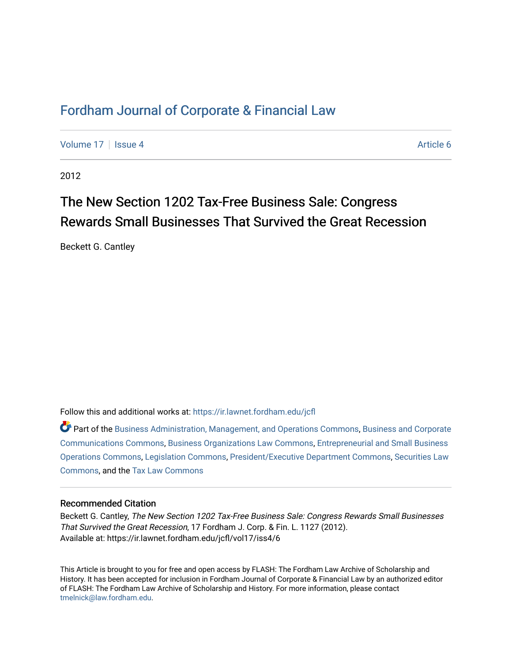## [Fordham Journal of Corporate & Financial Law](https://ir.lawnet.fordham.edu/jcfl)

[Volume 17](https://ir.lawnet.fordham.edu/jcfl/vol17) | [Issue 4](https://ir.lawnet.fordham.edu/jcfl/vol17/iss4) Article 6

2012

# The New Section 1202 Tax-Free Business Sale: Congress Rewards Small Businesses That Survived the Great Recession

Beckett G. Cantley

Follow this and additional works at: [https://ir.lawnet.fordham.edu/jcfl](https://ir.lawnet.fordham.edu/jcfl?utm_source=ir.lawnet.fordham.edu%2Fjcfl%2Fvol17%2Fiss4%2F6&utm_medium=PDF&utm_campaign=PDFCoverPages) 

Part of the [Business Administration, Management, and Operations Commons](http://network.bepress.com/hgg/discipline/623?utm_source=ir.lawnet.fordham.edu%2Fjcfl%2Fvol17%2Fiss4%2F6&utm_medium=PDF&utm_campaign=PDFCoverPages), [Business and Corporate](http://network.bepress.com/hgg/discipline/627?utm_source=ir.lawnet.fordham.edu%2Fjcfl%2Fvol17%2Fiss4%2F6&utm_medium=PDF&utm_campaign=PDFCoverPages)  [Communications Commons,](http://network.bepress.com/hgg/discipline/627?utm_source=ir.lawnet.fordham.edu%2Fjcfl%2Fvol17%2Fiss4%2F6&utm_medium=PDF&utm_campaign=PDFCoverPages) [Business Organizations Law Commons,](http://network.bepress.com/hgg/discipline/900?utm_source=ir.lawnet.fordham.edu%2Fjcfl%2Fvol17%2Fiss4%2F6&utm_medium=PDF&utm_campaign=PDFCoverPages) [Entrepreneurial and Small Business](http://network.bepress.com/hgg/discipline/630?utm_source=ir.lawnet.fordham.edu%2Fjcfl%2Fvol17%2Fiss4%2F6&utm_medium=PDF&utm_campaign=PDFCoverPages) [Operations Commons](http://network.bepress.com/hgg/discipline/630?utm_source=ir.lawnet.fordham.edu%2Fjcfl%2Fvol17%2Fiss4%2F6&utm_medium=PDF&utm_campaign=PDFCoverPages), [Legislation Commons,](http://network.bepress.com/hgg/discipline/859?utm_source=ir.lawnet.fordham.edu%2Fjcfl%2Fvol17%2Fiss4%2F6&utm_medium=PDF&utm_campaign=PDFCoverPages) [President/Executive Department Commons,](http://network.bepress.com/hgg/discipline/1118?utm_source=ir.lawnet.fordham.edu%2Fjcfl%2Fvol17%2Fiss4%2F6&utm_medium=PDF&utm_campaign=PDFCoverPages) [Securities Law](http://network.bepress.com/hgg/discipline/619?utm_source=ir.lawnet.fordham.edu%2Fjcfl%2Fvol17%2Fiss4%2F6&utm_medium=PDF&utm_campaign=PDFCoverPages)  [Commons](http://network.bepress.com/hgg/discipline/619?utm_source=ir.lawnet.fordham.edu%2Fjcfl%2Fvol17%2Fiss4%2F6&utm_medium=PDF&utm_campaign=PDFCoverPages), and the [Tax Law Commons](http://network.bepress.com/hgg/discipline/898?utm_source=ir.lawnet.fordham.edu%2Fjcfl%2Fvol17%2Fiss4%2F6&utm_medium=PDF&utm_campaign=PDFCoverPages)

### Recommended Citation

Beckett G. Cantley, The New Section 1202 Tax-Free Business Sale: Congress Rewards Small Businesses That Survived the Great Recession, 17 Fordham J. Corp. & Fin. L. 1127 (2012). Available at: https://ir.lawnet.fordham.edu/jcfl/vol17/iss4/6

This Article is brought to you for free and open access by FLASH: The Fordham Law Archive of Scholarship and History. It has been accepted for inclusion in Fordham Journal of Corporate & Financial Law by an authorized editor of FLASH: The Fordham Law Archive of Scholarship and History. For more information, please contact [tmelnick@law.fordham.edu](mailto:tmelnick@law.fordham.edu).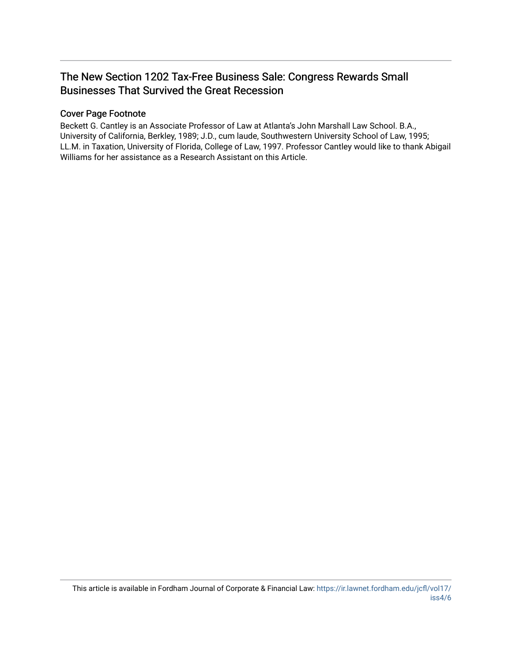## The New Section 1202 Tax-Free Business Sale: Congress Rewards Small Businesses That Survived the Great Recession

## Cover Page Footnote

Beckett G. Cantley is an Associate Professor of Law at Atlanta's John Marshall Law School. B.A., University of California, Berkley, 1989; J.D., cum laude, Southwestern University School of Law, 1995; LL.M. in Taxation, University of Florida, College of Law, 1997. Professor Cantley would like to thank Abigail Williams for her assistance as a Research Assistant on this Article.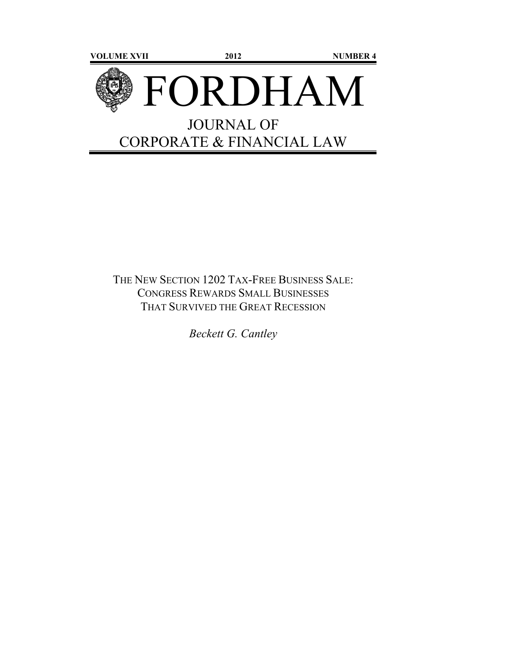

## THE NEW SECTION 1202 TAX-FREE BUSINESS SALE: CONGRESS REWARDS SMALL BUSINESSES THAT SURVIVED THE GREAT RECESSION

*Beckett G. Cantley*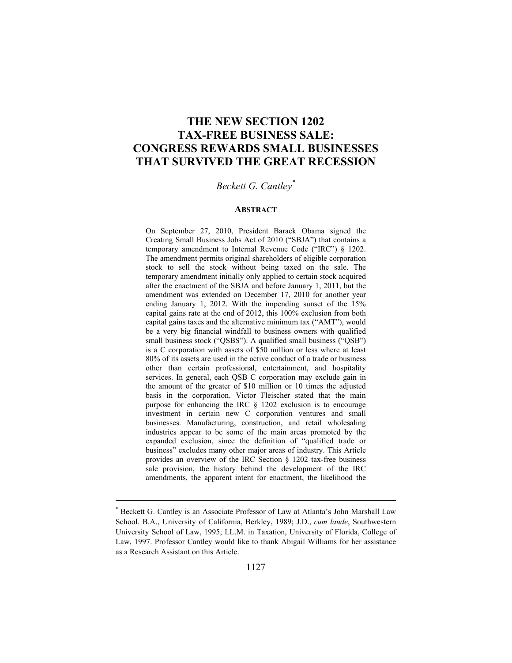## **THE NEW SECTION 1202 TAX-FREE BUSINESS SALE: CONGRESS REWARDS SMALL BUSINESSES THAT SURVIVED THE GREAT RECESSION**

## *Beckett G. Cantley\**

#### **ABSTRACT**

On September 27, 2010, President Barack Obama signed the Creating Small Business Jobs Act of 2010 ("SBJA") that contains a temporary amendment to Internal Revenue Code ("IRC") § 1202. The amendment permits original shareholders of eligible corporation stock to sell the stock without being taxed on the sale. The temporary amendment initially only applied to certain stock acquired after the enactment of the SBJA and before January 1, 2011, but the amendment was extended on December 17, 2010 for another year ending January 1, 2012. With the impending sunset of the 15% capital gains rate at the end of 2012, this 100% exclusion from both capital gains taxes and the alternative minimum tax ("AMT"), would be a very big financial windfall to business owners with qualified small business stock ("QSBS"). A qualified small business ("QSB") is a C corporation with assets of \$50 million or less where at least 80% of its assets are used in the active conduct of a trade or business other than certain professional, entertainment, and hospitality services. In general, each QSB C corporation may exclude gain in the amount of the greater of \$10 million or 10 times the adjusted basis in the corporation. Victor Fleischer stated that the main purpose for enhancing the IRC § 1202 exclusion is to encourage investment in certain new C corporation ventures and small businesses. Manufacturing, construction, and retail wholesaling industries appear to be some of the main areas promoted by the expanded exclusion, since the definition of "qualified trade or business" excludes many other major areas of industry. This Article provides an overview of the IRC Section § 1202 tax-free business sale provision, the history behind the development of the IRC amendments, the apparent intent for enactment, the likelihood the

<sup>\*</sup> Beckett G. Cantley is an Associate Professor of Law at Atlanta's John Marshall Law School. B.A., University of California, Berkley, 1989; J.D., *cum laude*, Southwestern University School of Law, 1995; LL.M. in Taxation, University of Florida, College of Law, 1997. Professor Cantley would like to thank Abigail Williams for her assistance as a Research Assistant on this Article.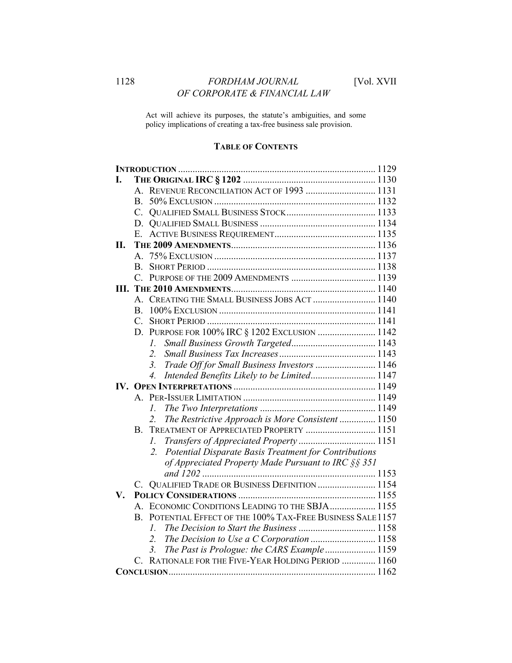## 1128 **FORDHAM JOURNAL** [Vol. XVII *OF CORPORATE & FINANCIAL LAW*

Act will achieve its purposes, the statute's ambiguities, and some policy implications of creating a tax-free business sale provision.

## **TABLE OF CONTENTS**

| I.  |                                                                |  |
|-----|----------------------------------------------------------------|--|
|     | A. REVENUE RECONCILIATION ACT OF 1993  1131                    |  |
|     | B.                                                             |  |
|     |                                                                |  |
|     |                                                                |  |
|     | E                                                              |  |
| II. |                                                                |  |
|     | $\mathsf{A}$                                                   |  |
|     | B.                                                             |  |
|     | $\mathcal{C}^-$                                                |  |
|     |                                                                |  |
|     | A. CREATING THE SMALL BUSINESS JOBS ACT  1140                  |  |
|     | $\mathbf{B}$                                                   |  |
|     | $C_{\cdot}$                                                    |  |
|     | D. PURPOSE FOR 100% IRC § 1202 EXCLUSION  1142                 |  |
|     | L.                                                             |  |
|     | $2_{\cdot}$                                                    |  |
|     | Trade Off for Small Business Investors  1146<br>3 <sub>1</sub> |  |
|     | Intended Benefits Likely to be Limited 1147<br>4.              |  |
|     |                                                                |  |
|     |                                                                |  |
|     | I.                                                             |  |
|     | The Restrictive Approach is More Consistent  1150              |  |
|     | TREATMENT OF APPRECIATED PROPERTY  1151<br>B.                  |  |
|     | I.                                                             |  |
|     | Potential Disparate Basis Treatment for Contributions<br>2.    |  |
|     | of Appreciated Property Made Pursuant to IRC §§ 351            |  |
|     |                                                                |  |
|     | C. QUALIFIED TRADE OR BUSINESS DEFINITION  1154                |  |
| V.  |                                                                |  |
|     | A. ECONOMIC CONDITIONS LEADING TO THE SBJA 1155                |  |
|     | B. POTENTIAL EFFECT OF THE 100% TAX-FREE BUSINESS SALE 1157    |  |
|     | $I_{-}$                                                        |  |
|     | The Decision to Use a C Corporation  1158                      |  |
|     | The Past is Prologue: the CARS Example 1159<br>3.              |  |
|     | C. RATIONALE FOR THE FIVE-YEAR HOLDING PERIOD  1160            |  |
|     |                                                                |  |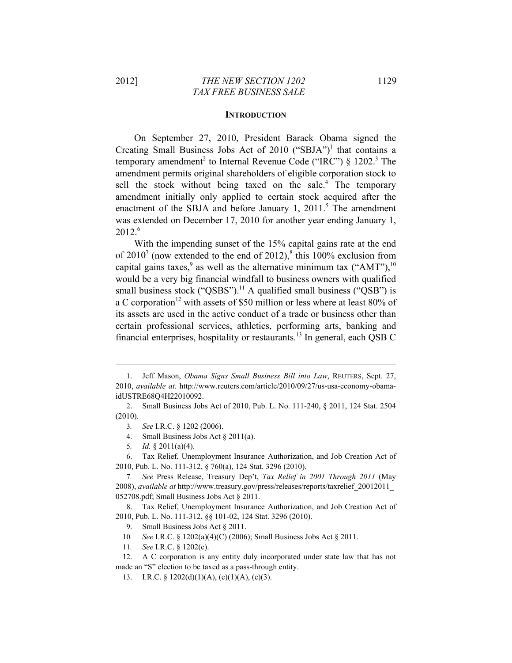#### **INTRODUCTION**

On September 27, 2010, President Barack Obama signed the Creating Small Business Jobs Act of 2010 ("SBJA")<sup>1</sup> that contains a temporary amendment<sup>2</sup> to Internal Revenue Code ("IRC")  $\S$  1202.<sup>3</sup> The amendment permits original shareholders of eligible corporation stock to sell the stock without being taxed on the sale.<sup>4</sup> The temporary amendment initially only applied to certain stock acquired after the enactment of the SBJA and before January  $1, 2011$ <sup>5</sup>. The amendment was extended on December 17, 2010 for another year ending January 1,  $2012^{6}$ 

With the impending sunset of the 15% capital gains rate at the end of 2010<sup>7</sup> (now extended to the end of 2012),<sup>8</sup> this 100% exclusion from capital gains taxes,<sup>9</sup> as well as the alternative minimum tax ("AMT"),<sup>10</sup> would be a very big financial windfall to business owners with qualified small business stock ("QSBS").<sup>11</sup> A qualified small business ("QSB") is a C corporation<sup>12</sup> with assets of \$50 million or less where at least 80% of its assets are used in the active conduct of a trade or business other than certain professional services, athletics, performing arts, banking and financial enterprises, hospitality or restaurants.<sup>13</sup> In general, each QSB C

<sup>1.</sup> Jeff Mason, *Obama Signs Small Business Bill into Law*, REUTERS, Sept. 27, 2010, *available at*. http://www.reuters.com/article/2010/09/27/us-usa-economy-obamaidUSTRE68Q4H22010092.

<sup>2.</sup> Small Business Jobs Act of 2010, Pub. L. No. 111-240, § 2011, 124 Stat. 2504 (2010).

<sup>3</sup>*. See* I.R.C. § 1202 (2006).

<sup>4.</sup> Small Business Jobs Act § 2011(a).

<sup>5</sup>*. Id.* § 2011(a)(4).

<sup>6.</sup> Tax Relief, Unemployment Insurance Authorization, and Job Creation Act of 2010, Pub. L. No. 111-312, § 760(a), 124 Stat. 3296 (2010).

<sup>7</sup>*. See* Press Release, Treasury Dep't, *Tax Relief in 2001 Through 2011* (May 2008), *available at* http://www.treasury.gov/press/releases/reports/taxrelief\_20012011\_ 052708.pdf; Small Business Jobs Act § 2011.

<sup>8.</sup> Tax Relief, Unemployment Insurance Authorization, and Job Creation Act of 2010, Pub. L. No. 111-312, §§ 101-02, 124 Stat. 3296 (2010).

<sup>9.</sup> Small Business Jobs Act § 2011.

<sup>10</sup>*. See* I.R.C. § 1202(a)(4)(C) (2006); Small Business Jobs Act § 2011.

<sup>11</sup>*. See* I.R.C. § 1202(c).

<sup>12.</sup> A C corporation is any entity duly incorporated under state law that has not made an "S" election to be taxed as a pass-through entity.

<sup>13.</sup> I.R.C. § 1202(d)(1)(A), (e)(1)(A), (e)(3).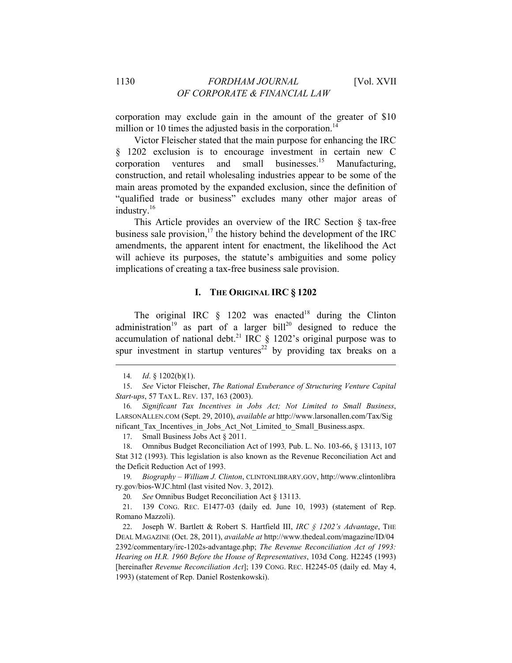corporation may exclude gain in the amount of the greater of \$10 million or 10 times the adjusted basis in the corporation.<sup>14</sup>

Victor Fleischer stated that the main purpose for enhancing the IRC § 1202 exclusion is to encourage investment in certain new C corporation ventures and small businesses.15 Manufacturing, construction, and retail wholesaling industries appear to be some of the main areas promoted by the expanded exclusion, since the definition of "qualified trade or business" excludes many other major areas of industry.<sup>16</sup>

This Article provides an overview of the IRC Section § tax-free business sale provision, $^{17}$  the history behind the development of the IRC amendments, the apparent intent for enactment, the likelihood the Act will achieve its purposes, the statute's ambiguities and some policy implications of creating a tax-free business sale provision.

## **I. THE ORIGINAL IRC § 1202**

The original IRC  $\&$  1202 was enacted<sup>18</sup> during the Clinton administration<sup>19</sup> as part of a larger bill<sup>20</sup> designed to reduce the accumulation of national debt.<sup>21</sup> IRC  $\S$  1202's original purpose was to spur investment in startup ventures<sup>22</sup> by providing tax breaks on a

<u> 1989 - Johann Stein, marwolaethau a bhann an t-Amhair an t-Amhair an t-Amhair an t-Amhair an t-Amhair an t-A</u>

17. Small Business Jobs Act § 2011.

18. Omnibus Budget Reconciliation Act of 1993*,* Pub. L. No. 103-66, § 13113, 107 Stat 312 (1993). This legislation is also known as the Revenue Reconciliation Act and the Deficit Reduction Act of 1993.

19*. Biography – William J. Clinton*, CLINTONLIBRARY.GOV, http://www.clintonlibra ry.gov/bios-WJC.html (last visited Nov. 3, 2012).

20*. See* Omnibus Budget Reconciliation Act § 13113.

21. 139 CONG. REC. E1477-03 (daily ed. June 10, 1993) (statement of Rep. Romano Mazzoli).

22. Joseph W. Bartlett & Robert S. Hartfield III, *IRC § 1202's Advantage*, THE DEAL MAGAZINE (Oct. 28, 2011), *available at* http://www.thedeal.com/magazine/ID/04 2392/commentary/irc-1202s-advantage.php; *The Revenue Reconciliation Act of 1993: Hearing on H.R. 1960 Before the House of Representatives*, 103d Cong. H2245 (1993) [hereinafter *Revenue Reconciliation Act*]; 139 CONG. REC. H2245-05 (daily ed. May 4, 1993) (statement of Rep. Daniel Rostenkowski).

<sup>14</sup>*. Id*. § 1202(b)(1).

<sup>15.</sup> *See* Victor Fleischer, *The Rational Exuberance of Structuring Venture Capital Start-ups*, 57 TAX L. REV. 137, 163 (2003).

<sup>16</sup>*. Significant Tax Incentives in Jobs Act; Not Limited to Small Business*, LARSONALLEN.COM (Sept. 29, 2010), *available at* http://www.larsonallen.com/Tax/Sig nificant Tax Incentives in Jobs Act Not Limited to Small Business.aspx.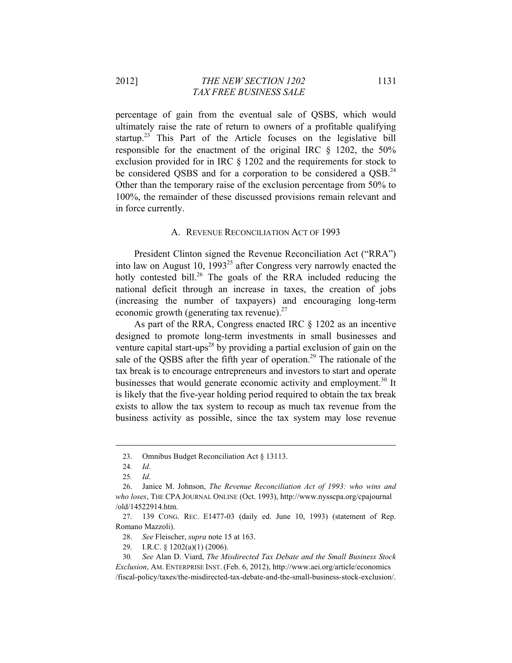2012] *THE NEW SECTION 1202* 1131  *TAX FREE BUSINESS SALE* 

percentage of gain from the eventual sale of QSBS, which would ultimately raise the rate of return to owners of a profitable qualifying startup.<sup>23</sup> This Part of the Article focuses on the legislative bill responsible for the enactment of the original IRC § 1202, the 50% exclusion provided for in IRC § 1202 and the requirements for stock to be considered QSBS and for a corporation to be considered a QSB.<sup>24</sup> Other than the temporary raise of the exclusion percentage from 50% to 100%, the remainder of these discussed provisions remain relevant and in force currently.

#### A. REVENUE RECONCILIATION ACT OF 1993

President Clinton signed the Revenue Reconciliation Act ("RRA") into law on August 10,  $1993^{25}$  after Congress very narrowly enacted the hotly contested bill.<sup>26</sup> The goals of the RRA included reducing the national deficit through an increase in taxes, the creation of jobs (increasing the number of taxpayers) and encouraging long-term economic growth (generating tax revenue). $^{27}$ 

As part of the RRA, Congress enacted IRC § 1202 as an incentive designed to promote long-term investments in small businesses and venture capital start-ups<sup>28</sup> by providing a partial exclusion of gain on the sale of the QSBS after the fifth year of operation.<sup>29</sup> The rationale of the tax break is to encourage entrepreneurs and investors to start and operate businesses that would generate economic activity and employment.<sup>30</sup> It is likely that the five-year holding period required to obtain the tax break exists to allow the tax system to recoup as much tax revenue from the business activity as possible, since the tax system may lose revenue

<sup>23.</sup> Omnibus Budget Reconciliation Act § 13113.

<sup>24</sup>*. Id*.

<sup>25</sup>*. Id*.

<sup>26.</sup> Janice M. Johnson, *The Revenue Reconciliation Act of 1993: who wins and who loses*, THE CPA JOURNAL ONLINE (Oct. 1993), http://www.nysscpa.org/cpajournal /old/14522914.htm.

<sup>27. 139</sup> CONG. REC. E1477-03 (daily ed. June 10, 1993) (statement of Rep. Romano Mazzoli).

<sup>28.</sup> *See* Fleischer, *supra* note 15 at 163.

<sup>29.</sup> I.R.C. § 1202(a)(1) (2006).

<sup>30</sup>*. See* Alan D. Viard, *The Misdirected Tax Debate and the Small Business Stock Exclusion*, AM. ENTERPRISE INST. (Feb. 6, 2012), http://www.aei.org/article/economics /fiscal-policy/taxes/the-misdirected-tax-debate-and-the-small-business-stock-exclusion/.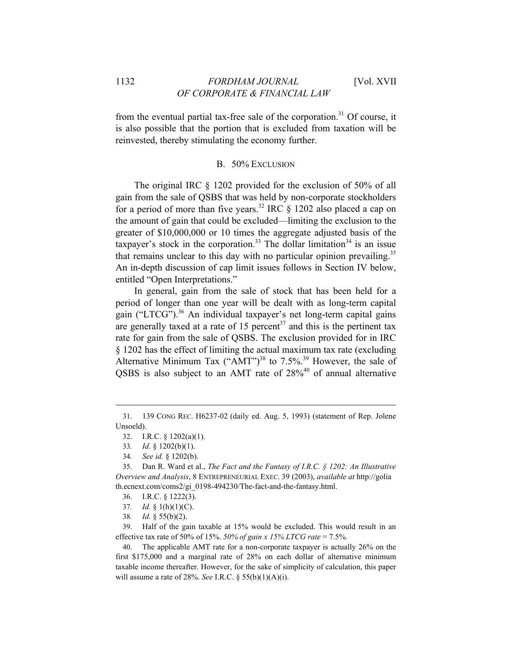from the eventual partial tax-free sale of the corporation.<sup>31</sup> Of course, it is also possible that the portion that is excluded from taxation will be reinvested, thereby stimulating the economy further.

#### B. 50% EXCLUSION

The original IRC § 1202 provided for the exclusion of 50% of all gain from the sale of QSBS that was held by non-corporate stockholders for a period of more than five years.<sup>32</sup> IRC  $\S$  1202 also placed a cap on the amount of gain that could be excluded—limiting the exclusion to the greater of \$10,000,000 or 10 times the aggregate adjusted basis of the taxpayer's stock in the corporation.<sup>33</sup> The dollar limitation<sup>34</sup> is an issue that remains unclear to this day with no particular opinion prevailing.<sup>35</sup> An in-depth discussion of cap limit issues follows in Section IV below, entitled "Open Interpretations."

In general, gain from the sale of stock that has been held for a period of longer than one year will be dealt with as long-term capital gain ("LTCG").36 An individual taxpayer's net long-term capital gains are generally taxed at a rate of 15 percent<sup>37</sup> and this is the pertinent tax rate for gain from the sale of QSBS. The exclusion provided for in IRC § 1202 has the effect of limiting the actual maximum tax rate (excluding Alternative Minimum Tax ("AMT")<sup>38</sup> to 7.5%.<sup>39</sup> However, the sale of QSBS is also subject to an AMT rate of  $28\%$ <sup>40</sup> of annual alternative

<u> 1989 - Johann Stein, marwolaethau a bhann an t-Amhair an t-Amhair an t-Amhair an t-Amhair an t-Amhair an t-A</u>

34*. See id.* § 1202(b).

- 37*. Id.* § 1(h)(1)(C).
- 38*. Id.* § 55(b)(2).

39. Half of the gain taxable at 15% would be excluded. This would result in an effective tax rate of 50% of 15%. *50% of gain x 15% LTCG rate* = 7.5%.

40. The applicable AMT rate for a non-corporate taxpayer is actually 26% on the first \$175,000 and a marginal rate of 28% on each dollar of alternative minimum taxable income thereafter. However, for the sake of simplicity of calculation, this paper will assume a rate of 28%. *See* I.R.C. § 55(b)(1)(A)(i).

<sup>31. 139</sup> CONG REC. H6237-02 (daily ed. Aug. 5, 1993) (statement of Rep. Jolene Unsoeld).

<sup>32.</sup> I.R.C. § 1202(a)(1).

<sup>33</sup>*. Id.* § 1202(b)(1).

<sup>35.</sup> Dan R. Ward et al., *The Fact and the Fantasy of I.R.C. § 1202: An Illustrative Overview and Analysis*, 8 ENTREPRENEURIAL EXEC. 39 (2003), *available at* http://golia th.ecnext.com/coms2/gi\_0198-494230/The-fact-and-the-fantasy.html.

<sup>36.</sup> I.R.C. § 1222(3).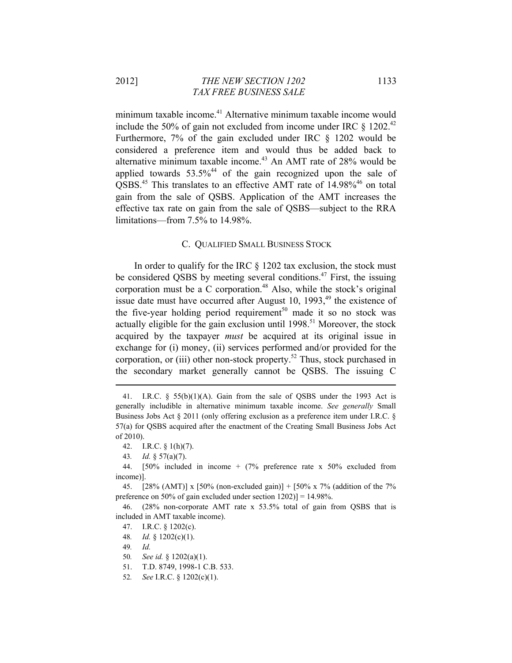minimum taxable income.<sup>41</sup> Alternative minimum taxable income would include the 50% of gain not excluded from income under IRC  $\S$  1202.<sup>42</sup> Furthermore, 7% of the gain excluded under IRC § 1202 would be considered a preference item and would thus be added back to alternative minimum taxable income.<sup>43</sup> An AMT rate of 28% would be applied towards  $53.5\%$ <sup>44</sup> of the gain recognized upon the sale of QSBS.<sup>45</sup> This translates to an effective AMT rate of 14.98%<sup>46</sup> on total gain from the sale of QSBS. Application of the AMT increases the effective tax rate on gain from the sale of QSBS—subject to the RRA limitations—from 7.5% to 14.98%.

### C. QUALIFIED SMALL BUSINESS STOCK

In order to qualify for the IRC  $\S$  1202 tax exclusion, the stock must be considered QSBS by meeting several conditions.<sup>47</sup> First, the issuing corporation must be a C corporation.<sup>48</sup> Also, while the stock's original issue date must have occurred after August 10,  $1993$ ,<sup>49</sup> the existence of the five-year holding period requirement<sup>50</sup> made it so no stock was actually eligible for the gain exclusion until  $1998$ <sup>51</sup> Moreover, the stock acquired by the taxpayer *must* be acquired at its original issue in exchange for (i) money, (ii) services performed and/or provided for the corporation, or (iii) other non-stock property.<sup>52</sup> Thus, stock purchased in the secondary market generally cannot be QSBS. The issuing C

<u> 1989 - Johann Stein, marwolaethau a bhann an t-Amhair ann an t-Amhair an t-Amhair an t-Amhair an t-Amhair an</u>

45. [28% (AMT)] x [50% (non-excluded gain)] + [50% x 7% (addition of the 7% preference on 50% of gain excluded under section 1202)] = 14.98%.

46. (28% non-corporate AMT rate x 53.5% total of gain from QSBS that is included in AMT taxable income).

- 47. I.R.C. § 1202(c).
- 48*. Id.* § 1202(c)(1).
- 49*. Id.*
- 50*. See id.* § 1202(a)(1).
- 51. T.D. 8749, 1998-1 C.B. 533.
- 52*. See* I.R.C. § 1202(c)(1).

<sup>41.</sup> I.R.C. § 55(b)(1)(A). Gain from the sale of QSBS under the 1993 Act is generally includible in alternative minimum taxable income. *See generally* Small Business Jobs Act § 2011 (only offering exclusion as a preference item under I.R.C. § 57(a) for QSBS acquired after the enactment of the Creating Small Business Jobs Act of 2010).

<sup>42.</sup> I.R.C. § 1(h)(7).

<sup>43</sup>*. Id.* § 57(a)(7).

<sup>44. [50%</sup> included in income + (7% preference rate x 50% excluded from income)].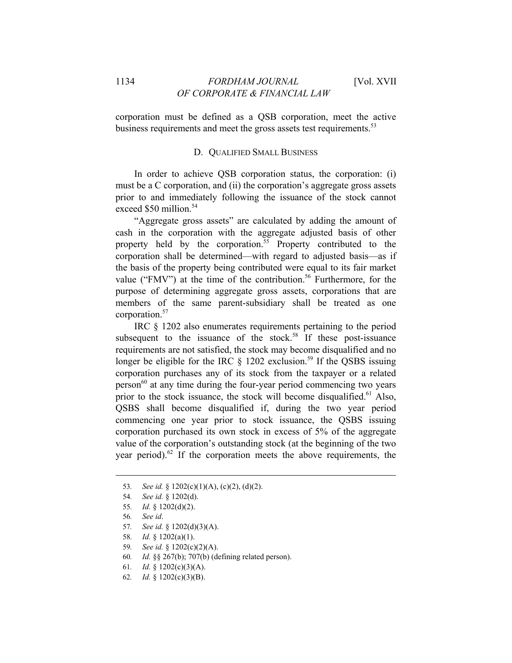corporation must be defined as a QSB corporation, meet the active business requirements and meet the gross assets test requirements.<sup>53</sup>

### D. QUALIFIED SMALL BUSINESS

In order to achieve QSB corporation status, the corporation: (i) must be a C corporation, and (ii) the corporation's aggregate gross assets prior to and immediately following the issuance of the stock cannot exceed \$50 million.<sup>54</sup>

"Aggregate gross assets" are calculated by adding the amount of cash in the corporation with the aggregate adjusted basis of other property held by the corporation.<sup>55</sup> Property contributed to the corporation shall be determined—with regard to adjusted basis—as if the basis of the property being contributed were equal to its fair market value ("FMV") at the time of the contribution.<sup>56</sup> Furthermore, for the purpose of determining aggregate gross assets, corporations that are members of the same parent-subsidiary shall be treated as one corporation.57

IRC § 1202 also enumerates requirements pertaining to the period subsequent to the issuance of the stock.<sup>58</sup> If these post-issuance requirements are not satisfied, the stock may become disqualified and no longer be eligible for the IRC  $\S$  1202 exclusion.<sup>59</sup> If the QSBS issuing corporation purchases any of its stock from the taxpayer or a related  $person<sup>60</sup>$  at any time during the four-year period commencing two years prior to the stock issuance, the stock will become disqualified.<sup>61</sup> Also, QSBS shall become disqualified if, during the two year period commencing one year prior to stock issuance, the QSBS issuing corporation purchased its own stock in excess of 5% of the aggregate value of the corporation's outstanding stock (at the beginning of the two year period). $62$  If the corporation meets the above requirements, the

- 58*. Id.* § 1202(a)(1).
- 59*. See id.* § 1202(c)(2)(A).
- 60*. Id.* §§ 267(b); 707(b) (defining related person).
- 61*. Id.* § 1202(c)(3)(A).
- 62*. Id.* § 1202(c)(3)(B).

<sup>53</sup>*. See id.* § 1202(c)(1)(A), (c)(2), (d)(2).

<sup>54</sup>*. See id.* § 1202(d).

<sup>55</sup>*. Id.* § 1202(d)(2).

<sup>56</sup>*. See id*.

<sup>57</sup>*. See id.* § 1202(d)(3)(A).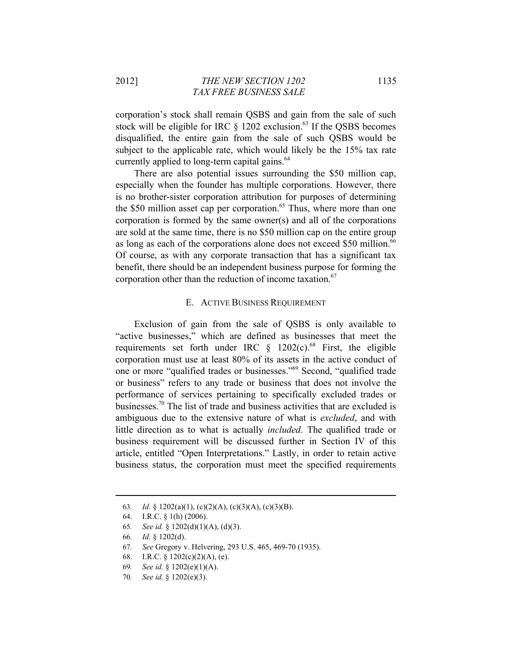corporation's stock shall remain QSBS and gain from the sale of such stock will be eligible for IRC  $\S$  1202 exclusion.<sup>63</sup> If the QSBS becomes disqualified, the entire gain from the sale of such QSBS would be subject to the applicable rate, which would likely be the 15% tax rate currently applied to long-term capital gains.<sup>64</sup>

There are also potential issues surrounding the \$50 million cap, especially when the founder has multiple corporations. However, there is no brother-sister corporation attribution for purposes of determining the \$50 million asset cap per corporation.<sup>65</sup> Thus, where more than one corporation is formed by the same owner(s) and all of the corporations are sold at the same time, there is no \$50 million cap on the entire group as long as each of the corporations alone does not exceed \$50 million.<sup>66</sup> Of course, as with any corporate transaction that has a significant tax benefit, there should be an independent business purpose for forming the corporation other than the reduction of income taxation.<sup>67</sup>

#### E. ACTIVE BUSINESS REQUIREMENT

Exclusion of gain from the sale of QSBS is only available to "active businesses," which are defined as businesses that meet the requirements set forth under IRC  $\frac{8}{1202(c)}$ .<sup>68</sup> First, the eligible corporation must use at least 80% of its assets in the active conduct of one or more "qualified trades or businesses."69 Second, "qualified trade or business" refers to any trade or business that does not involve the performance of services pertaining to specifically excluded trades or businesses.70 The list of trade and business activities that are excluded is ambiguous due to the extensive nature of what is *excluded*, and with little direction as to what is actually *included*. The qualified trade or business requirement will be discussed further in Section IV of this article, entitled "Open Interpretations." Lastly, in order to retain active business status, the corporation must meet the specified requirements

<sup>63</sup>*. Id.* § 1202(a)(1), (c)(2)(A), (c)(3)(A), (c)(3)(B).

<sup>64.</sup> I.R.C. § 1(h) (2006).

<sup>65</sup>*. See id.* § 1202(d)(1)(A), (d)(3).

<sup>66</sup>*. Id.* § 1202(d).

<sup>67</sup>*. See* Gregory v. Helvering, 293 U.S. 465, 469-70 (1935).

<sup>68.</sup> I.R.C. §  $1202(c)(2)(A)$ , (e).

<sup>69</sup>*. See id.* § 1202(e)(1)(A).

<sup>70</sup>*. See id.* § 1202(e)(3).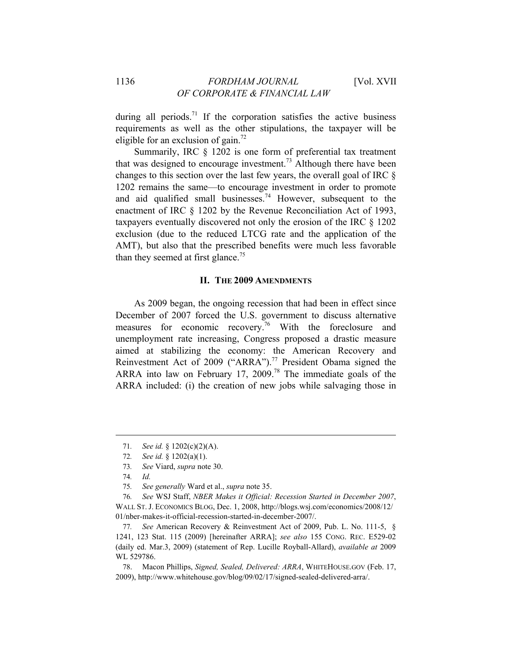during all periods.<sup>71</sup> If the corporation satisfies the active business requirements as well as the other stipulations, the taxpayer will be eligible for an exclusion of gain.<sup>72</sup>

Summarily, IRC § 1202 is one form of preferential tax treatment that was designed to encourage investment.<sup>73</sup> Although there have been changes to this section over the last few years, the overall goal of IRC § 1202 remains the same—to encourage investment in order to promote and aid qualified small businesses.<sup>74</sup> However, subsequent to the enactment of IRC § 1202 by the Revenue Reconciliation Act of 1993, taxpayers eventually discovered not only the erosion of the IRC § 1202 exclusion (due to the reduced LTCG rate and the application of the AMT), but also that the prescribed benefits were much less favorable than they seemed at first glance.<sup>75</sup>

## **II. THE 2009 AMENDMENTS**

As 2009 began, the ongoing recession that had been in effect since December of 2007 forced the U.S. government to discuss alternative measures for economic recovery.76 With the foreclosure and unemployment rate increasing, Congress proposed a drastic measure aimed at stabilizing the economy: the American Recovery and Reinvestment Act of 2009 ("ARRA").<sup>77</sup> President Obama signed the ARRA into law on February 17, 2009.78 The immediate goals of the ARRA included: (i) the creation of new jobs while salvaging those in

<sup>71</sup>*. See id.* § 1202(c)(2)(A).

<sup>72</sup>*. See id.* § 1202(a)(1).

<sup>73</sup>*. See* Viard, *supra* note 30.

<sup>74</sup>*. Id.*

<sup>75</sup>*. See generally* Ward et al., *supra* note 35.

<sup>76</sup>*. See* WSJ Staff, *NBER Makes it Official: Recession Started in December 2007*, WALL ST. J. ECONOMICS BLOG, Dec. 1, 2008, http://blogs.wsj.com/economics/2008/12/ 01/nber-makes-it-official-recession-started-in-december-2007/.

<sup>77</sup>*. See* American Recovery & Reinvestment Act of 2009, Pub. L. No. 111-5, § 1241, 123 Stat. 115 (2009) [hereinafter ARRA]; *see also* 155 CONG. REC. E529-02 (daily ed. Mar.3, 2009) (statement of Rep. Lucille Royball-Allard), *available at* 2009 WL 529786.

<sup>78.</sup> Macon Phillips, *Signed, Sealed, Delivered: ARRA*, WHITEHOUSE.GOV (Feb. 17, 2009), http://www.whitehouse.gov/blog/09/02/17/signed-sealed-delivered-arra/.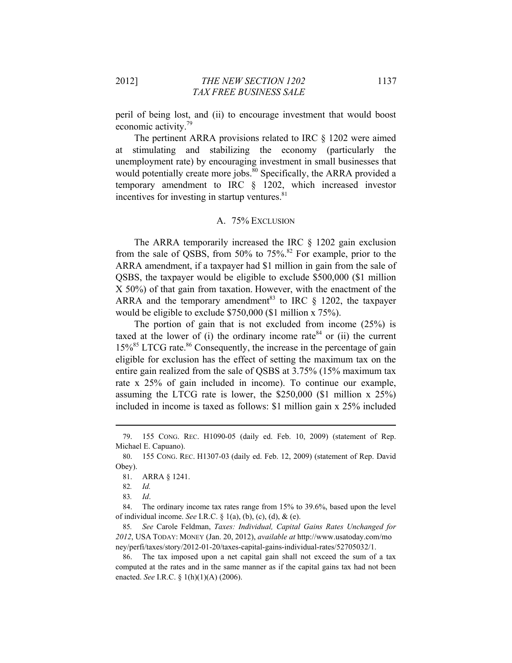peril of being lost, and (ii) to encourage investment that would boost economic activity.79

The pertinent ARRA provisions related to IRC § 1202 were aimed at stimulating and stabilizing the economy (particularly the unemployment rate) by encouraging investment in small businesses that would potentially create more jobs.<sup>80</sup> Specifically, the ARRA provided a temporary amendment to IRC § 1202, which increased investor incentives for investing in startup ventures. $81$ 

#### A. 75% EXCLUSION

The ARRA temporarily increased the IRC § 1202 gain exclusion from the sale of OSBS, from 50% to  $75\%$ .<sup>82</sup> For example, prior to the ARRA amendment, if a taxpayer had \$1 million in gain from the sale of QSBS, the taxpayer would be eligible to exclude \$500,000 (\$1 million X 50%) of that gain from taxation. However, with the enactment of the ARRA and the temporary amendment<sup>83</sup> to IRC  $\S$  1202, the taxpayer would be eligible to exclude \$750,000 (\$1 million x 75%).

The portion of gain that is not excluded from income (25%) is taxed at the lower of (i) the ordinary income rate<sup>84</sup> or (ii) the current  $15\%$ <sup>85</sup> LTCG rate.<sup>86</sup> Consequently, the increase in the percentage of gain eligible for exclusion has the effect of setting the maximum tax on the entire gain realized from the sale of QSBS at 3.75% (15% maximum tax rate x 25% of gain included in income). To continue our example, assuming the LTCG rate is lower, the \$250,000 (\$1 million x 25%) included in income is taxed as follows: \$1 million gain x 25% included

<sup>79. 155</sup> CONG. REC. H1090-05 (daily ed. Feb. 10, 2009) (statement of Rep. Michael E. Capuano).

<sup>80. 155</sup> CONG. REC. H1307-03 (daily ed. Feb. 12, 2009) (statement of Rep. David Obey).

<sup>81.</sup> ARRA § 1241.

<sup>82</sup>*. Id.*

<sup>83</sup>*. Id*.

<sup>84.</sup> The ordinary income tax rates range from 15% to 39.6%, based upon the level of individual income. *See* I.R.C. § 1(a), (b), (c), (d), & (e).

<sup>85</sup>*. See* Carole Feldman, *Taxes: Individual, Capital Gains Rates Unchanged for 2012*, USA TODAY: MONEY (Jan. 20, 2012), *available at* http://www.usatoday.com/mo ney/perfi/taxes/story/2012-01-20/taxes-capital-gains-individual-rates/52705032/1.

<sup>86.</sup> The tax imposed upon a net capital gain shall not exceed the sum of a tax computed at the rates and in the same manner as if the capital gains tax had not been enacted. *See* I.R.C. § 1(h)(1)(A) (2006).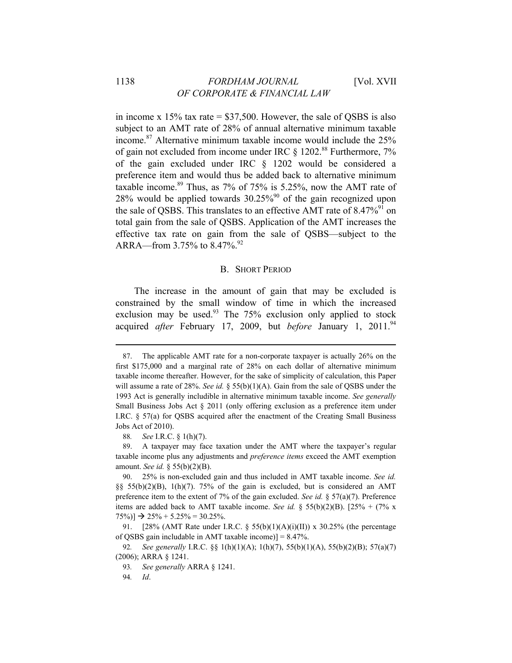in income x  $15\%$  tax rate = \$37,500. However, the sale of QSBS is also subject to an AMT rate of 28% of annual alternative minimum taxable income.<sup>87</sup> Alternative minimum taxable income would include the  $25\%$ of gain not excluded from income under IRC  $\S$  1202.<sup>88</sup> Furthermore, 7% of the gain excluded under IRC § 1202 would be considered a preference item and would thus be added back to alternative minimum taxable income.<sup>89</sup> Thus, as  $7\%$  of  $75\%$  is 5.25%, now the AMT rate of 28% would be applied towards  $30.25\%$ <sup>90</sup> of the gain recognized upon the sale of QSBS. This translates to an effective AMT rate of 8.47%<sup>91</sup> on total gain from the sale of QSBS. Application of the AMT increases the effective tax rate on gain from the sale of QSBS—subject to the ARRA—from 3.75% to  $8.47\%$ .<sup>92</sup>

#### B. SHORT PERIOD

The increase in the amount of gain that may be excluded is constrained by the small window of time in which the increased exclusion may be used.<sup>93</sup> The  $75\%$  exclusion only applied to stock acquired *after* February 17, 2009, but *before* January 1, 2011.94

<sup>87.</sup> The applicable AMT rate for a non-corporate taxpayer is actually 26% on the first \$175,000 and a marginal rate of 28% on each dollar of alternative minimum taxable income thereafter. However, for the sake of simplicity of calculation, this Paper will assume a rate of 28%. *See id.* § 55(b)(1)(A). Gain from the sale of QSBS under the 1993 Act is generally includible in alternative minimum taxable income. *See generally*  Small Business Jobs Act § 2011 (only offering exclusion as a preference item under I.RC. § 57(a) for QSBS acquired after the enactment of the Creating Small Business Jobs Act of 2010).

<sup>88</sup>*. See* I.R.C. § 1(h)(7).

<sup>89.</sup> A taxpayer may face taxation under the AMT where the taxpayer's regular taxable income plus any adjustments and *preference items* exceed the AMT exemption amount. *See id.* § 55(b)(2)(B).

<sup>90. 25%</sup> is non-excluded gain and thus included in AMT taxable income. *See id.* §§ 55(b)(2)(B), 1(h)(7). 75% of the gain is excluded, but is considered an AMT preference item to the extent of 7% of the gain excluded. *See id.* § 57(a)(7). Preference items are added back to AMT taxable income. *See id.* § 55(b)(2)(B). [25% + (7% x  $75\%$ ]  $\rightarrow$  25% + 5.25% = 30.25%.

<sup>91. [28% (</sup>AMT Rate under I.R.C. § 55(b)(1)(A)(i)(II)) x 30.25% (the percentage of QSBS gain includable in AMT taxable income)] = 8.47%.

<sup>92</sup>*. See generally* I.R.C. §§ 1(h)(1)(A); 1(h)(7), 55(b)(1)(A), 55(b)(2)(B); 57(a)(7) (2006); ARRA § 1241.

<sup>93</sup>*. See generally* ARRA § 1241.

<sup>94</sup>*. Id*.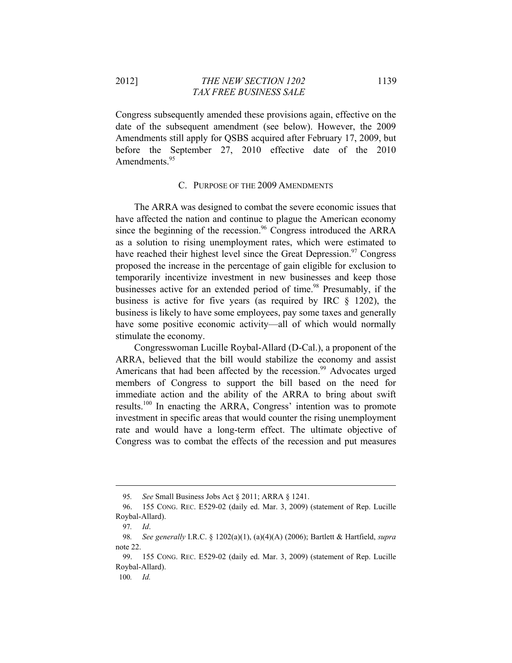Congress subsequently amended these provisions again, effective on the date of the subsequent amendment (see below). However, the 2009 Amendments still apply for QSBS acquired after February 17, 2009, but before the September 27, 2010 effective date of the 2010 Amendments.<sup>95</sup>

## C. PURPOSE OF THE 2009 AMENDMENTS

The ARRA was designed to combat the severe economic issues that have affected the nation and continue to plague the American economy since the beginning of the recession.<sup>96</sup> Congress introduced the ARRA as a solution to rising unemployment rates, which were estimated to have reached their highest level since the Great Depression.<sup>97</sup> Congress proposed the increase in the percentage of gain eligible for exclusion to temporarily incentivize investment in new businesses and keep those businesses active for an extended period of time.<sup>98</sup> Presumably, if the business is active for five years (as required by IRC § 1202), the business is likely to have some employees, pay some taxes and generally have some positive economic activity—all of which would normally stimulate the economy.

Congresswoman Lucille Roybal-Allard (D-Cal.), a proponent of the ARRA, believed that the bill would stabilize the economy and assist Americans that had been affected by the recession.<sup>99</sup> Advocates urged members of Congress to support the bill based on the need for immediate action and the ability of the ARRA to bring about swift results.100 In enacting the ARRA, Congress' intention was to promote investment in specific areas that would counter the rising unemployment rate and would have a long-term effect. The ultimate objective of Congress was to combat the effects of the recession and put measures

<sup>95</sup>*. See* Small Business Jobs Act § 2011; ARRA § 1241.

<sup>96. 155</sup> CONG. REC. E529-02 (daily ed. Mar. 3, 2009) (statement of Rep. Lucille Roybal-Allard).

<sup>97</sup>*. Id*.

<sup>98</sup>*. See generally* I.R.C. § 1202(a)(1), (a)(4)(A) (2006); Bartlett & Hartfield, *supra* note 22.

<sup>99. 155</sup> CONG. REC. E529-02 (daily ed. Mar. 3, 2009) (statement of Rep. Lucille Roybal-Allard).

<sup>100</sup>*. Id.*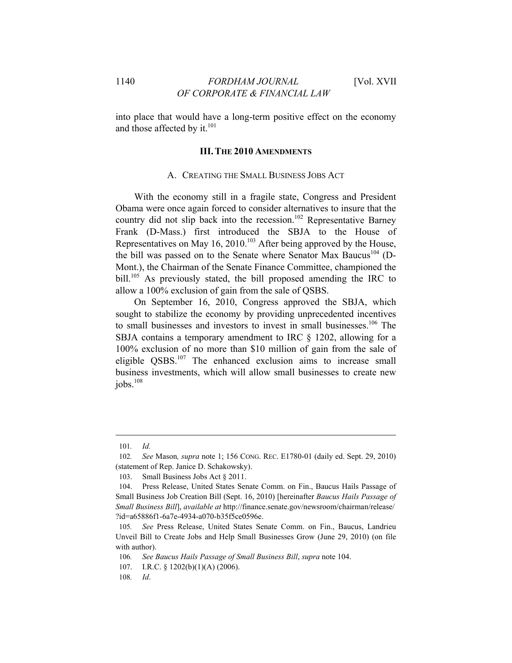into place that would have a long-term positive effect on the economy and those affected by it. $101$ 

### **III. THE 2010 AMENDMENTS**

#### A. CREATING THE SMALL BUSINESS JOBS ACT

With the economy still in a fragile state, Congress and President Obama were once again forced to consider alternatives to insure that the country did not slip back into the recession.<sup>102</sup> Representative Barney Frank (D-Mass.) first introduced the SBJA to the House of Representatives on May 16, 2010.<sup>103</sup> After being approved by the House, the bill was passed on to the Senate where Senator Max Baucus<sup>104</sup> (D-Mont.), the Chairman of the Senate Finance Committee, championed the bill.<sup>105</sup> As previously stated, the bill proposed amending the IRC to allow a 100% exclusion of gain from the sale of QSBS.

On September 16, 2010, Congress approved the SBJA, which sought to stabilize the economy by providing unprecedented incentives to small businesses and investors to invest in small businesses.106 The SBJA contains a temporary amendment to IRC § 1202, allowing for a 100% exclusion of no more than \$10 million of gain from the sale of eligible QSBS.<sup>107</sup> The enhanced exclusion aims to increase small business investments, which will allow small businesses to create new  $i$ obs. $108$ 

<sup>101</sup>*. Id.*

<sup>102</sup>*. See* Mason*, supra* note 1; 156 CONG. REC. E1780-01 (daily ed. Sept. 29, 2010) (statement of Rep. Janice D. Schakowsky).

<sup>103.</sup> Small Business Jobs Act § 2011.

<sup>104.</sup> Press Release, United States Senate Comm. on Fin., Baucus Hails Passage of Small Business Job Creation Bill (Sept. 16, 2010) [hereinafter *Baucus Hails Passage of Small Business Bill*], *available at* http://finance.senate.gov/newsroom/chairman/release/ ?id=a65886f1-6a7e-4934-a070-b35f5ce0596e.

<sup>105</sup>*. See* Press Release, United States Senate Comm. on Fin., Baucus, Landrieu Unveil Bill to Create Jobs and Help Small Businesses Grow (June 29, 2010) (on file with author).

<sup>106</sup>*. See Baucus Hails Passage of Small Business Bill*, *supra* note 104.

<sup>107.</sup> I.R.C. § 1202(b)(1)(A) (2006).

<sup>108</sup>*. Id*.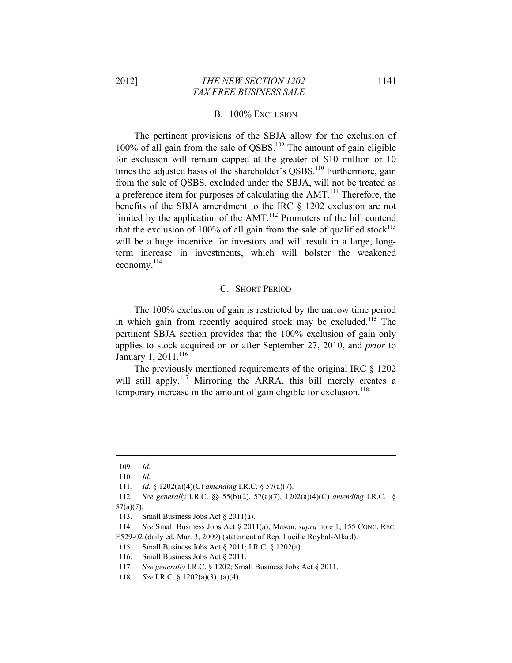#### B. 100% EXCLUSION

The pertinent provisions of the SBJA allow for the exclusion of  $100\%$  of all gain from the sale of QSBS.<sup>109</sup> The amount of gain eligible for exclusion will remain capped at the greater of \$10 million or 10 times the adjusted basis of the shareholder's QSBS.<sup>110</sup> Furthermore, gain from the sale of QSBS, excluded under the SBJA, will not be treated as a preference item for purposes of calculating the AMT.<sup>111</sup> Therefore, the benefits of the SBJA amendment to the IRC § 1202 exclusion are not limited by the application of the AMT.<sup>112</sup> Promoters of the bill contend that the exclusion of 100% of all gain from the sale of qualified stock<sup>113</sup> will be a huge incentive for investors and will result in a large, longterm increase in investments, which will bolster the weakened economy. $^{114}$ 

#### C. SHORT PERIOD

The 100% exclusion of gain is restricted by the narrow time period in which gain from recently acquired stock may be excluded.<sup>115</sup> The pertinent SBJA section provides that the 100% exclusion of gain only applies to stock acquired on or after September 27, 2010, and *prior* to January 1, 2011.<sup>116</sup>

The previously mentioned requirements of the original IRC § 1202 will still apply.<sup>117</sup> Mirroring the ARRA, this bill merely creates a temporary increase in the amount of gain eligible for exclusion.<sup>118</sup>

<sup>109</sup>*. Id.*

<sup>110</sup>*. Id.*

<sup>111</sup>*. Id.* § 1202(a)(4)(C) *amending* I.R.C. § 57(a)(7).

<sup>112</sup>*. See generally* I.R.C. §§ 55(b)(2), 57(a)(7), 1202(a)(4)(C) *amending* I.R.C. § 57(a)(7).

<sup>113.</sup> Small Business Jobs Act § 2011(a).

<sup>114</sup>*. See* Small Business Jobs Act § 2011(a); Mason, *supra* note 1; 155 CONG. REC. E529-02 (daily ed. Mar. 3, 2009) (statement of Rep. Lucille Roybal-Allard).

<sup>115.</sup> Small Business Jobs Act § 2011; I.R.C. § 1202(a).

<sup>116.</sup> Small Business Jobs Act § 2011.

<sup>117</sup>*. See generally* I.R.C. § 1202; Small Business Jobs Act § 2011.

<sup>118</sup>*. See* I.R.C. § 1202(a)(3), (a)(4).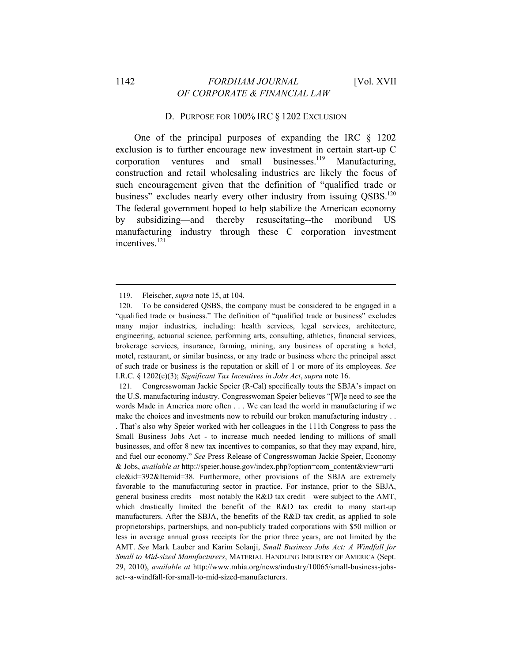## 1142 *FORDHAM JOURNAL* [Vol. XVII *OF CORPORATE & FINANCIAL LAW*

### D. PURPOSE FOR 100% IRC § 1202 EXCLUSION

One of the principal purposes of expanding the IRC § 1202 exclusion is to further encourage new investment in certain start-up C corporation ventures and small businesses.<sup>119</sup> Manufacturing, construction and retail wholesaling industries are likely the focus of such encouragement given that the definition of "qualified trade or business" excludes nearly every other industry from issuing OSBS.<sup>120</sup> The federal government hoped to help stabilize the American economy by subsidizing—and thereby resuscitating--the moribund US manufacturing industry through these C corporation investment incentives.<sup>121</sup>

<u> 1989 - Johann Barbara, martxa alemaniar argumento este alemaniar alemaniar alemaniar este alemaniar este al</u>

121*.* Congresswoman Jackie Speier (R-Cal) specifically touts the SBJA's impact on the U.S. manufacturing industry. Congresswoman Speier believes "[W]e need to see the words Made in America more often . . . We can lead the world in manufacturing if we make the choices and investments now to rebuild our broken manufacturing industry . .

<sup>119.</sup> Fleischer, *supra* note 15, at 104.

<sup>120.</sup> To be considered QSBS, the company must be considered to be engaged in a "qualified trade or business." The definition of "qualified trade or business" excludes many major industries, including: health services, legal services, architecture, engineering, actuarial science, performing arts, consulting, athletics, financial services, brokerage services, insurance, farming, mining, any business of operating a hotel, motel, restaurant, or similar business, or any trade or business where the principal asset of such trade or business is the reputation or skill of 1 or more of its employees. *See* I.R.C. § 1202(e)(3); *Significant Tax Incentives in Jobs Act*, *supra* note 16.

<sup>.</sup> That's also why Speier worked with her colleagues in the 111th Congress to pass the Small Business Jobs Act - to increase much needed lending to millions of small businesses, and offer 8 new tax incentives to companies, so that they may expand, hire, and fuel our economy." *See* Press Release of Congresswoman Jackie Speier, Economy & Jobs, *available at* http://speier.house.gov/index.php?option=com\_content&view=arti cle&id=392&Itemid=38. Furthermore, other provisions of the SBJA are extremely favorable to the manufacturing sector in practice. For instance, prior to the SBJA, general business credits—most notably the R&D tax credit—were subject to the AMT, which drastically limited the benefit of the R&D tax credit to many start-up manufacturers. After the SBJA, the benefits of the R&D tax credit, as applied to sole proprietorships, partnerships, and non-publicly traded corporations with \$50 million or less in average annual gross receipts for the prior three years, are not limited by the AMT. *See* Mark Lauber and Karim Solanji, *Small Business Jobs Act: A Windfall for Small to Mid-sized Manufacturers*, MATERIAL HANDLING INDUSTRY OF AMERICA (Sept. 29, 2010), *available at* http://www.mhia.org/news/industry/10065/small-business-jobsact--a-windfall-for-small-to-mid-sized-manufacturers.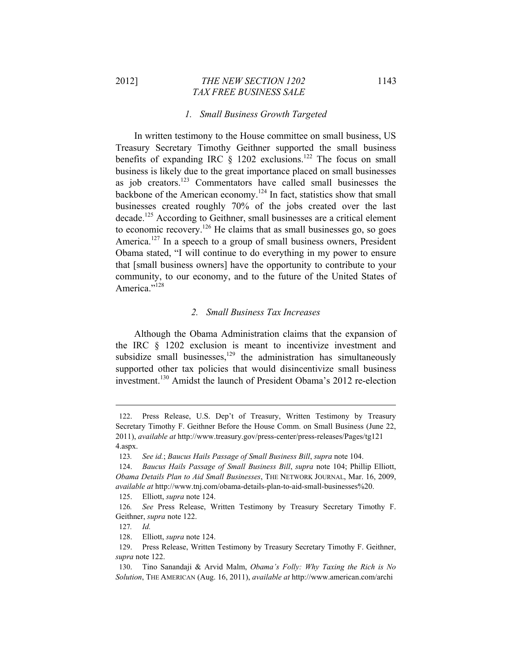### 2012] *THE NEW SECTION 1202* 1143  *TAX FREE BUSINESS SALE*

#### *1. Small Business Growth Targeted*

In written testimony to the House committee on small business, US Treasury Secretary Timothy Geithner supported the small business benefits of expanding IRC  $\S$  1202 exclusions.<sup>122</sup> The focus on small business is likely due to the great importance placed on small businesses as job creators.123 Commentators have called small businesses the backbone of the American economy.124 In fact, statistics show that small businesses created roughly 70% of the jobs created over the last decade.<sup>125</sup> According to Geithner, small businesses are a critical element to economic recovery.126 He claims that as small businesses go, so goes America.<sup>127</sup> In a speech to a group of small business owners, President Obama stated, "I will continue to do everything in my power to ensure that [small business owners] have the opportunity to contribute to your community, to our economy, and to the future of the United States of America."<sup>128</sup>

#### *2. Small Business Tax Increases*

Although the Obama Administration claims that the expansion of the IRC § 1202 exclusion is meant to incentivize investment and subsidize small businesses, $129$  the administration has simultaneously supported other tax policies that would disincentivize small business investment.<sup>130</sup> Amidst the launch of President Obama's 2012 re-election

<sup>122.</sup> Press Release, U.S. Dep't of Treasury, Written Testimony by Treasury Secretary Timothy F. Geithner Before the House Comm. on Small Business (June 22, 2011), *available at* http://www.treasury.gov/press-center/press-releases/Pages/tg121 4.aspx.

<sup>123</sup>*. See id.*; *Baucus Hails Passage of Small Business Bill*, *supra* note 104.

<sup>124.</sup> *Baucus Hails Passage of Small Business Bill*, *supra* note 104; Phillip Elliott, *Obama Details Plan to Aid Small Businesses*, THE NETWORK JOURNAL, Mar. 16, 2009, *available at* http://www.tnj.com/obama-details-plan-to-aid-small-businesses%20.

<sup>125.</sup> Elliott, *supra* note 124.

<sup>126</sup>*. See* Press Release, Written Testimony by Treasury Secretary Timothy F. Geithner, *supra* note 122.

<sup>127</sup>*. Id.*

<sup>128.</sup> Elliott, *supra* note 124.

<sup>129.</sup> Press Release, Written Testimony by Treasury Secretary Timothy F. Geithner, *supra* note 122.

<sup>130.</sup> Tino Sanandaji & Arvid Malm, *Obama's Folly: Why Taxing the Rich is No Solution*, THE AMERICAN (Aug. 16, 2011), *available at* http://www.american.com/archi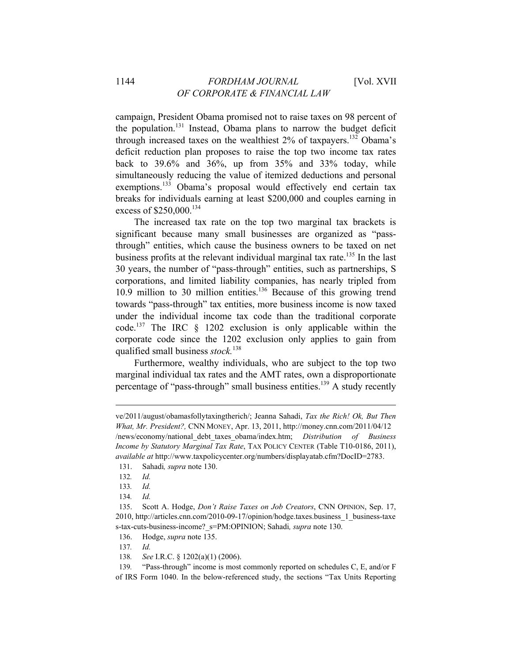campaign, President Obama promised not to raise taxes on 98 percent of the population.<sup>131</sup> Instead, Obama plans to narrow the budget deficit through increased taxes on the wealthiest  $2\%$  of taxpayers.<sup>132</sup> Obama's deficit reduction plan proposes to raise the top two income tax rates back to 39.6% and 36%, up from 35% and 33% today, while simultaneously reducing the value of itemized deductions and personal exemptions.<sup>133</sup> Obama's proposal would effectively end certain tax breaks for individuals earning at least \$200,000 and couples earning in excess of \$250,000.<sup>134</sup>

The increased tax rate on the top two marginal tax brackets is significant because many small businesses are organized as "passthrough" entities, which cause the business owners to be taxed on net business profits at the relevant individual marginal tax rate.<sup>135</sup> In the last 30 years, the number of "pass-through" entities, such as partnerships, S corporations, and limited liability companies, has nearly tripled from  $10.9$  million to 30 million entities.<sup>136</sup> Because of this growing trend towards "pass-through" tax entities, more business income is now taxed under the individual income tax code than the traditional corporate code.<sup>137</sup> The IRC  $\frac{1202}{1202}$  exclusion is only applicable within the corporate code since the 1202 exclusion only applies to gain from qualified small business *stock.*<sup>138</sup>

Furthermore, wealthy individuals, who are subject to the top two marginal individual tax rates and the AMT rates, own a disproportionate percentage of "pass-through" small business entities.<sup>139</sup> A study recently

ve/2011/august/obamasfollytaxingtherich/; Jeanna Sahadi, *Tax the Rich! Ok, But Then What, Mr. President?,* CNN MONEY, Apr. 13, 2011, http://money.cnn.com/2011/04/12 /news/economy/national\_debt\_taxes\_obama/index.htm; *Distribution of Business Income by Statutory Marginal Tax Rate*, TAX POLICY CENTER (Table T10-0186, 2011), *available at* http://www.taxpolicycenter.org/numbers/displayatab.cfm?DocID=2783.

<sup>131.</sup> Sahadi*, supra* note 130.

<sup>132</sup>*. Id.*

<sup>133</sup>*. Id.* 

<sup>134</sup>*. Id.*

<sup>135.</sup> Scott A. Hodge, *Don't Raise Taxes on Job Creators*, CNN OPINION, Sep. 17, 2010, http://articles.cnn.com/2010-09-17/opinion/hodge.taxes.business\_1\_business-taxe s-tax-cuts-business-income?\_s=PM:OPINION; Sahadi*, supra* note 130.

<sup>136.</sup> Hodge, *supra* note 135.

<sup>137</sup>*. Id.*

<sup>138</sup>*. See* I.R.C. § 1202(a)(1) (2006).

<sup>139</sup>*.* "Pass-through" income is most commonly reported on schedules C, E, and/or F of IRS Form 1040. In the below-referenced study, the sections "Tax Units Reporting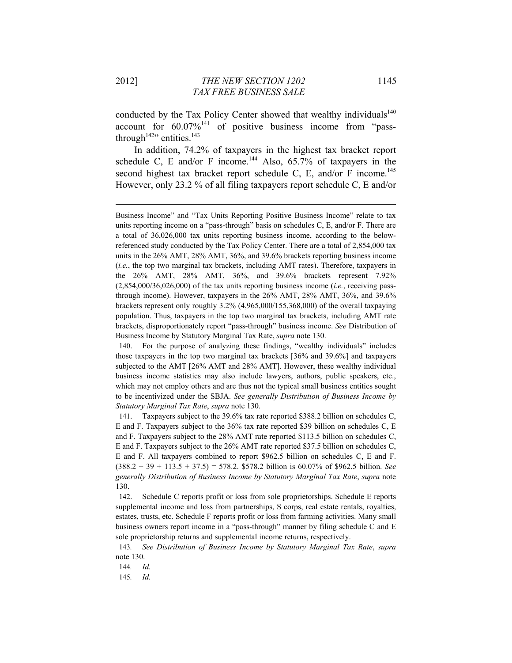conducted by the Tax Policy Center showed that wealthy individuals<sup>140</sup> account for  $60.07\%$ <sup>141</sup> of positive business income from "passthrough<sup>142</sup>" entities.<sup>143</sup>

In addition, 74.2% of taxpayers in the highest tax bracket report schedule C, E and/or F income.<sup>144</sup> Also,  $65.7\%$  of taxpayers in the second highest tax bracket report schedule C, E, and/or F income.<sup>145</sup> However, only 23.2 % of all filing taxpayers report schedule C, E and/or

<u> 1989 - Johann Stein, marwolaethau a bhann an t-Amhain an t-Amhain an t-Amhain an t-Amhain an t-Amhain an t-A</u>

140. For the purpose of analyzing these findings, "wealthy individuals" includes those taxpayers in the top two marginal tax brackets [36% and 39.6%] and taxpayers subjected to the AMT [26% AMT and 28% AMT]. However, these wealthy individual business income statistics may also include lawyers, authors, public speakers, etc., which may not employ others and are thus not the typical small business entities sought to be incentivized under the SBJA. *See generally Distribution of Business Income by Statutory Marginal Tax Rate*, *supra* note 130.

141. Taxpayers subject to the 39.6% tax rate reported \$388.2 billion on schedules C, E and F. Taxpayers subject to the 36% tax rate reported \$39 billion on schedules C, E and F. Taxpayers subject to the 28% AMT rate reported \$113.5 billion on schedules C, E and F. Taxpayers subject to the 26% AMT rate reported \$37.5 billion on schedules C, E and F. All taxpayers combined to report \$962.5 billion on schedules C, E and F. (388.2 + 39 + 113.5 + 37.5) = 578.2. \$578.2 billion is 60.07% of \$962.5 billion. *See generally Distribution of Business Income by Statutory Marginal Tax Rate*, *supra* note 130.

142. Schedule C reports profit or loss from sole proprietorships. Schedule E reports supplemental income and loss from partnerships, S corps, real estate rentals, royalties, estates, trusts, etc. Schedule F reports profit or loss from farming activities. Many small business owners report income in a "pass-through" manner by filing schedule C and E sole proprietorship returns and supplemental income returns, respectively.

143*. See Distribution of Business Income by Statutory Marginal Tax Rate*, *supra*  note 130.

144*. Id.*

145*. Id.*

Business Income" and "Tax Units Reporting Positive Business Income" relate to tax units reporting income on a "pass-through" basis on schedules C, E, and/or F. There are a total of 36,026,000 tax units reporting business income, according to the belowreferenced study conducted by the Tax Policy Center. There are a total of 2,854,000 tax units in the 26% AMT, 28% AMT, 36%, and 39.6% brackets reporting business income (*i.e.*, the top two marginal tax brackets, including AMT rates). Therefore, taxpayers in the 26% AMT, 28% AMT, 36%, and 39.6% brackets represent 7.92% (2,854,000/36,026,000) of the tax units reporting business income (*i.e.*, receiving passthrough income). However, taxpayers in the 26% AMT, 28% AMT, 36%, and 39.6% brackets represent only roughly 3.2% (4,965,000/155,368,000) of the overall taxpaying population. Thus, taxpayers in the top two marginal tax brackets, including AMT rate brackets, disproportionately report "pass-through" business income. *See* Distribution of Business Income by Statutory Marginal Tax Rate, *supra* note 130.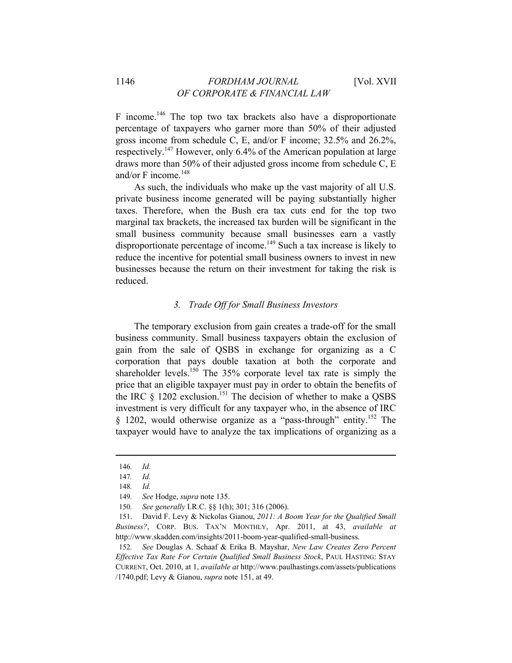F income.<sup>146</sup> The top two tax brackets also have a disproportionate percentage of taxpayers who garner more than 50% of their adjusted gross income from schedule C, E, and/or F income; 32.5% and 26.2%, respectively.147 However, only 6.4% of the American population at large draws more than 50% of their adjusted gross income from schedule C, E and/or  $F$  income.<sup>148</sup>

As such, the individuals who make up the vast majority of all U.S. private business income generated will be paying substantially higher taxes. Therefore, when the Bush era tax cuts end for the top two marginal tax brackets, the increased tax burden will be significant in the small business community because small businesses earn a vastly disproportionate percentage of income.<sup>149</sup> Such a tax increase is likely to reduce the incentive for potential small business owners to invest in new businesses because the return on their investment for taking the risk is reduced.

## *3. Trade Off for Small Business Investors*

The temporary exclusion from gain creates a trade-off for the small business community. Small business taxpayers obtain the exclusion of gain from the sale of QSBS in exchange for organizing as a C corporation that pays double taxation at both the corporate and shareholder levels.<sup>150</sup> The  $35\%$  corporate level tax rate is simply the price that an eligible taxpayer must pay in order to obtain the benefits of the IRC  $\S$  1202 exclusion.<sup>151</sup> The decision of whether to make a QSBS investment is very difficult for any taxpayer who, in the absence of IRC § 1202, would otherwise organize as a "pass-through" entity.<sup>152</sup> The taxpayer would have to analyze the tax implications of organizing as a

<sup>146</sup>*. Id.*

<sup>147</sup>*. Id.*

<sup>148</sup>*. Id.*

<sup>149</sup>*. See* Hodge, *supra* note 135.

<sup>150</sup>*. See generally* I.R.C. §§ 1(h); 301; 316 (2006).

<sup>151.</sup> David F. Levy & Nickolas Gianou, *2011: A Boom Year for the Qualified Small Business?*, CORP. BUS. TAX'N MONTHLY, Apr. 2011, at 43, *available at*  http://www.skadden.com/insights/2011-boom-year-qualified-small-business.

<sup>152</sup>*. See* Douglas A. Schaaf & Erika B. Mayshar, *New Law Creates Zero Percent Effective Tax Rate For Certain Qualified Small Business Stock*, PAUL HASTING: STAY CURRENT, Oct. 2010, at 1, *available at* http://www.paulhastings.com/assets/publications /1740.pdf; Levy & Gianou, *supra* note 151, at 49.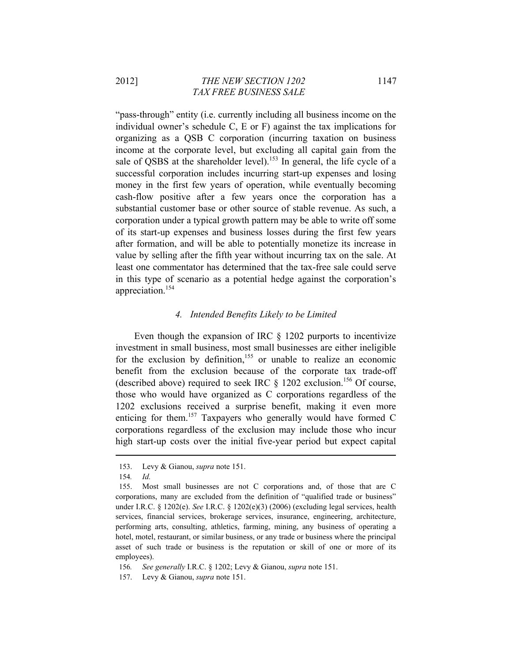2012] *THE NEW SECTION 1202* 1147  *TAX FREE BUSINESS SALE* 

"pass-through" entity (i.e. currently including all business income on the individual owner's schedule C, E or F) against the tax implications for organizing as a QSB C corporation (incurring taxation on business income at the corporate level, but excluding all capital gain from the sale of QSBS at the shareholder level).<sup>153</sup> In general, the life cycle of a successful corporation includes incurring start-up expenses and losing money in the first few years of operation, while eventually becoming cash-flow positive after a few years once the corporation has a substantial customer base or other source of stable revenue. As such, a corporation under a typical growth pattern may be able to write off some of its start-up expenses and business losses during the first few years after formation, and will be able to potentially monetize its increase in value by selling after the fifth year without incurring tax on the sale. At least one commentator has determined that the tax-free sale could serve in this type of scenario as a potential hedge against the corporation's appreciation.154

### *4. Intended Benefits Likely to be Limited*

Even though the expansion of IRC § 1202 purports to incentivize investment in small business, most small businesses are either ineligible for the exclusion by definition,<sup>155</sup> or unable to realize an economic benefit from the exclusion because of the corporate tax trade-off (described above) required to seek IRC  $\S$  1202 exclusion.<sup>156</sup> Of course, those who would have organized as C corporations regardless of the 1202 exclusions received a surprise benefit, making it even more enticing for them.157 Taxpayers who generally would have formed C corporations regardless of the exclusion may include those who incur high start-up costs over the initial five-year period but expect capital

<sup>153.</sup> Levy & Gianou, *supra* note 151.

<sup>154</sup>*. Id.*

<sup>155.</sup> Most small businesses are not C corporations and, of those that are C corporations, many are excluded from the definition of "qualified trade or business" under I.R.C. § 1202(e). *See* I.R.C. § 1202(e)(3) (2006) (excluding legal services, health services, financial services, brokerage services, insurance, engineering, architecture, performing arts, consulting, athletics, farming, mining, any business of operating a hotel, motel, restaurant, or similar business, or any trade or business where the principal asset of such trade or business is the reputation or skill of one or more of its employees).

<sup>156</sup>*. See generally* I.R.C. § 1202; Levy & Gianou, *supra* note 151.

<sup>157.</sup> Levy & Gianou, *supra* note 151.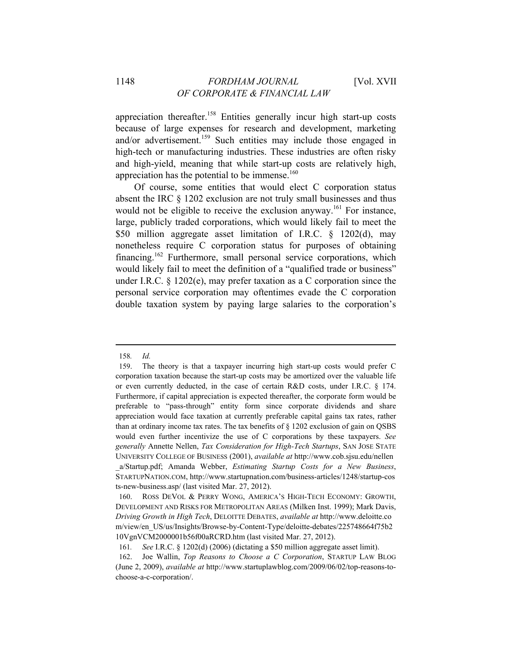appreciation thereafter.<sup>158</sup> Entities generally incur high start-up costs because of large expenses for research and development, marketing and/or advertisement.<sup>159</sup> Such entities may include those engaged in high-tech or manufacturing industries. These industries are often risky and high-yield, meaning that while start-up costs are relatively high, appreciation has the potential to be immense. $160$ 

Of course, some entities that would elect C corporation status absent the IRC § 1202 exclusion are not truly small businesses and thus would not be eligible to receive the exclusion anyway.<sup>161</sup> For instance, large, publicly traded corporations, which would likely fail to meet the \$50 million aggregate asset limitation of I.R.C. § 1202(d), may nonetheless require C corporation status for purposes of obtaining financing.162 Furthermore, small personal service corporations, which would likely fail to meet the definition of a "qualified trade or business" under I.R.C. § 1202(e), may prefer taxation as a C corporation since the personal service corporation may oftentimes evade the C corporation double taxation system by paying large salaries to the corporation's

<sup>158</sup>*. Id.*

<sup>159.</sup> The theory is that a taxpayer incurring high start-up costs would prefer C corporation taxation because the start-up costs may be amortized over the valuable life or even currently deducted, in the case of certain R&D costs, under I.R.C. § 174. Furthermore, if capital appreciation is expected thereafter, the corporate form would be preferable to "pass-through" entity form since corporate dividends and share appreciation would face taxation at currently preferable capital gains tax rates, rather than at ordinary income tax rates. The tax benefits of  $\S$  1202 exclusion of gain on QSBS would even further incentivize the use of C corporations by these taxpayers. *See generally* Annette Nellen, *Tax Consideration for High-Tech Startups*, SAN JOSE STATE UNIVERSITY COLLEGE OF BUSINESS (2001), *available at* http://www.cob.sjsu.edu/nellen \_a/Startup.pdf; Amanda Webber, *Estimating Startup Costs for a New Business*, STARTUPNATION.COM, http://www.startupnation.com/business-articles/1248/startup-cos ts-new-business.asp/ (last visited Mar. 27, 2012).

<sup>160.</sup> ROSS DEVOL & PERRY WONG, AMERICA'S HIGH-TECH ECONOMY: GROWTH, DEVELOPMENT AND RISKS FOR METROPOLITAN AREAS (Milken Inst. 1999); Mark Davis, *Driving Growth in High Tech*, DELOITTE DEBATES, *available at* http://www.deloitte.co m/view/en\_US/us/Insights/Browse-by-Content-Type/deloitte-debates/225748664f75b2 10VgnVCM2000001b56f00aRCRD.htm (last visited Mar. 27, 2012).

<sup>161</sup>*. See* I.R.C. § 1202(d) (2006) (dictating a \$50 million aggregate asset limit).

<sup>162.</sup> Joe Wallin, *Top Reasons to Choose a C Corporation*, STARTUP LAW BLOG (June 2, 2009), *available at* http://www.startuplawblog.com/2009/06/02/top-reasons-tochoose-a-c-corporation/.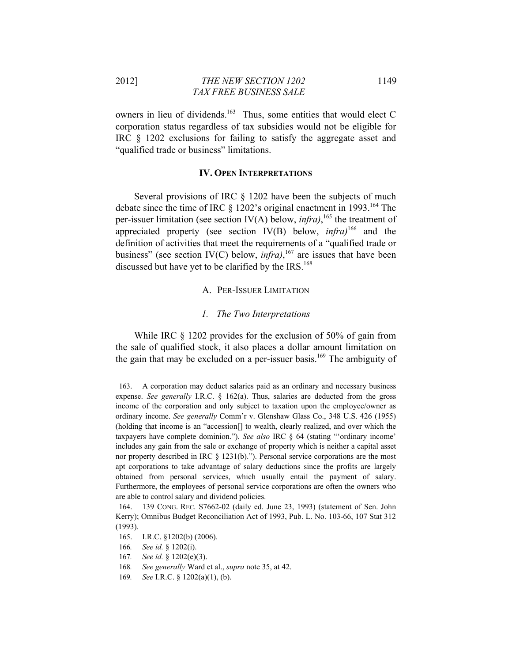2012] *THE NEW SECTION 1202* 1149  *TAX FREE BUSINESS SALE* 

owners in lieu of dividends.<sup>163</sup> Thus, some entities that would elect C corporation status regardless of tax subsidies would not be eligible for IRC § 1202 exclusions for failing to satisfy the aggregate asset and "qualified trade or business" limitations.

#### **IV. OPEN INTERPRETATIONS**

Several provisions of IRC § 1202 have been the subjects of much debate since the time of IRC  $\S$  1202's original enactment in 1993.<sup>164</sup> The per-issuer limitation (see section IV(A) below, *infra*), <sup>165</sup> the treatment of appreciated property (see section IV(B) below, *infra)*166 and the definition of activities that meet the requirements of a "qualified trade or business" (see section IV(C) below, *infra*),  $^{167}$  are issues that have been discussed but have yet to be clarified by the IRS.<sup>168</sup>

#### A. PER-ISSUER LIMITATION

#### *1. The Two Interpretations*

While IRC  $\S$  1202 provides for the exclusion of 50% of gain from the sale of qualified stock, it also places a dollar amount limitation on the gain that may be excluded on a per-issuer basis.<sup>169</sup> The ambiguity of

<u> 1989 - Johann Stein, marwolaethau a bhann an t-Amhain an t-Amhain an t-Amhain an t-Amhain an t-Amhain an t-A</u>

168*. See generally* Ward et al., *supra* note 35, at 42.

<sup>163.</sup> A corporation may deduct salaries paid as an ordinary and necessary business expense. *See generally* I.R.C. § 162(a). Thus, salaries are deducted from the gross income of the corporation and only subject to taxation upon the employee/owner as ordinary income. *See generally* Comm'r v. Glenshaw Glass Co., 348 U.S. 426 (1955) (holding that income is an "accession[] to wealth, clearly realized, and over which the taxpayers have complete dominion."). *See also* IRC § 64 (stating "'ordinary income' includes any gain from the sale or exchange of property which is neither a capital asset nor property described in IRC § 1231(b)."). Personal service corporations are the most apt corporations to take advantage of salary deductions since the profits are largely obtained from personal services, which usually entail the payment of salary. Furthermore, the employees of personal service corporations are often the owners who are able to control salary and dividend policies.

<sup>164. 139</sup> CONG. REC. S7662-02 (daily ed. June 23, 1993) (statement of Sen. John Kerry); Omnibus Budget Reconciliation Act of 1993, Pub. L. No. 103-66, 107 Stat 312 (1993).

<sup>165.</sup> I.R.C. §1202(b) (2006).

<sup>166</sup>*. See id.* § 1202(i).

<sup>167</sup>*. See id.* § 1202(e)(3).

<sup>169</sup>*. See* I.R.C. § 1202(a)(1), (b).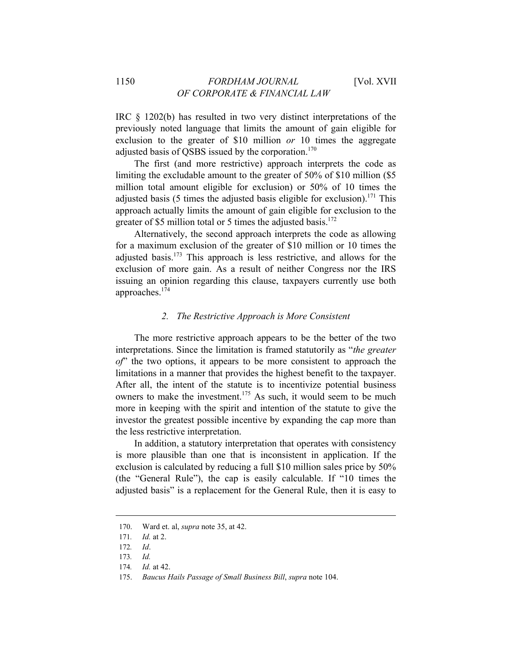IRC § 1202(b) has resulted in two very distinct interpretations of the previously noted language that limits the amount of gain eligible for exclusion to the greater of \$10 million *or* 10 times the aggregate adjusted basis of QSBS issued by the corporation.<sup>170</sup>

The first (and more restrictive) approach interprets the code as limiting the excludable amount to the greater of 50% of \$10 million (\$5 million total amount eligible for exclusion) or 50% of 10 times the adjusted basis (5 times the adjusted basis eligible for exclusion).<sup>171</sup> This approach actually limits the amount of gain eligible for exclusion to the greater of \$5 million total or 5 times the adjusted basis. $172$ 

Alternatively, the second approach interprets the code as allowing for a maximum exclusion of the greater of \$10 million or 10 times the adjusted basis. $173$  This approach is less restrictive, and allows for the exclusion of more gain. As a result of neither Congress nor the IRS issuing an opinion regarding this clause, taxpayers currently use both approaches.174

#### *2. The Restrictive Approach is More Consistent*

The more restrictive approach appears to be the better of the two interpretations. Since the limitation is framed statutorily as "*the greater of*" the two options, it appears to be more consistent to approach the limitations in a manner that provides the highest benefit to the taxpayer. After all, the intent of the statute is to incentivize potential business owners to make the investment.<sup>175</sup> As such, it would seem to be much more in keeping with the spirit and intention of the statute to give the investor the greatest possible incentive by expanding the cap more than the less restrictive interpretation.

In addition, a statutory interpretation that operates with consistency is more plausible than one that is inconsistent in application. If the exclusion is calculated by reducing a full \$10 million sales price by 50% (the "General Rule"), the cap is easily calculable. If "10 times the adjusted basis" is a replacement for the General Rule, then it is easy to

<sup>170.</sup> Ward et. al, *supra* note 35, at 42.

<sup>171</sup>*. Id.* at 2.

<sup>172</sup>*. Id*.

<sup>173</sup>*. Id.*

<sup>174</sup>*. Id.* at 42.

<sup>175.</sup> *Baucus Hails Passage of Small Business Bill*, *supra* note 104.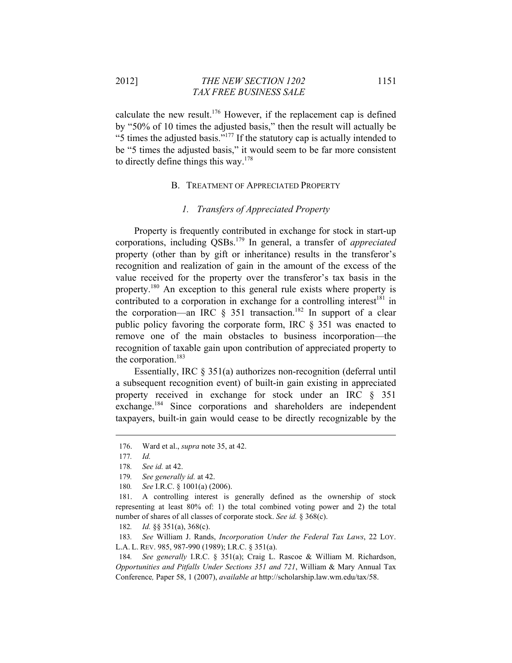2012] *THE NEW SECTION 1202* 1151  *TAX FREE BUSINESS SALE* 

calculate the new result.176 However, if the replacement cap is defined by "50% of 10 times the adjusted basis," then the result will actually be "5 times the adjusted basis."177 If the statutory cap is actually intended to be "5 times the adjusted basis," it would seem to be far more consistent to directly define things this way.<sup>178</sup>

#### B. TREATMENT OF APPRECIATED PROPERTY

## *1. Transfers of Appreciated Property*

Property is frequently contributed in exchange for stock in start-up corporations, including QSBs.179 In general, a transfer of *appreciated* property (other than by gift or inheritance) results in the transferor's recognition and realization of gain in the amount of the excess of the value received for the property over the transferor's tax basis in the property.180 An exception to this general rule exists where property is contributed to a corporation in exchange for a controlling interest<sup>181</sup> in the corporation—an IRC  $\frac{1}{5}$  351 transaction.<sup>182</sup> In support of a clear public policy favoring the corporate form, IRC § 351 was enacted to remove one of the main obstacles to business incorporation—the recognition of taxable gain upon contribution of appreciated property to the corporation.<sup>183</sup>

Essentially, IRC § 351(a) authorizes non-recognition (deferral until a subsequent recognition event) of built-in gain existing in appreciated property received in exchange for stock under an IRC § 351 exchange.<sup>184</sup> Since corporations and shareholders are independent taxpayers, built-in gain would cease to be directly recognizable by the

<sup>176.</sup> Ward et al., *supra* note 35, at 42.

<sup>177</sup>*. Id.*

<sup>178</sup>*. See id.* at 42.

<sup>179</sup>*. See generally id.* at 42.

<sup>180</sup>*. See* I.R.C. § 1001(a) (2006).

<sup>181.</sup> A controlling interest is generally defined as the ownership of stock representing at least 80% of: 1) the total combined voting power and 2) the total number of shares of all classes of corporate stock. *See id.* § 368(c).

<sup>182</sup>*. Id.* §§ 351(a), 368(c).

<sup>183</sup>*. See* William J. Rands, *Incorporation Under the Federal Tax Laws*, 22 LOY. L.A. L. REV. 985, 987-990 (1989); I.R.C. § 351(a).

<sup>184</sup>*. See generally* I.R.C. § 351(a); Craig L. Rascoe & William M. Richardson, *Opportunities and Pitfalls Under Sections 351 and 721*, William & Mary Annual Tax Conference*,* Paper 58, 1 (2007), *available at* http://scholarship.law.wm.edu/tax/58.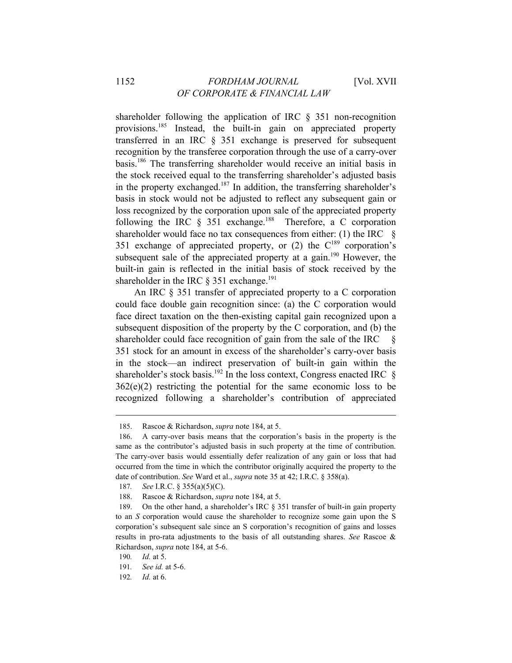## 1152 *FORDHAM JOURNAL* [Vol. XVII *OF CORPORATE & FINANCIAL LAW*

shareholder following the application of IRC § 351 non-recognition provisions.<sup>185</sup> Instead, the built-in gain on appreciated property transferred in an IRC § 351 exchange is preserved for subsequent recognition by the transferee corporation through the use of a carry-over basis.186 The transferring shareholder would receive an initial basis in the stock received equal to the transferring shareholder's adjusted basis in the property exchanged.<sup>187</sup> In addition, the transferring shareholder's basis in stock would not be adjusted to reflect any subsequent gain or loss recognized by the corporation upon sale of the appreciated property following the IRC  $\S$  351 exchange.<sup>188</sup> Therefore, a C corporation shareholder would face no tax consequences from either: (1) the IRC  $\S$ 351 exchange of appreciated property, or  $(2)$  the  $C^{189}$  corporation's subsequent sale of the appreciated property at a gain.<sup>190</sup> However, the built-in gain is reflected in the initial basis of stock received by the shareholder in the IRC  $\S$  351 exchange.<sup>191</sup>

An IRC § 351 transfer of appreciated property to a C corporation could face double gain recognition since: (a) the C corporation would face direct taxation on the then-existing capital gain recognized upon a subsequent disposition of the property by the C corporation, and (b) the shareholder could face recognition of gain from the sale of the IRC  $\S$ 351 stock for an amount in excess of the shareholder's carry-over basis in the stock—an indirect preservation of built-in gain within the shareholder's stock basis.<sup>192</sup> In the loss context, Congress enacted IRC  $\S$  $362(e)(2)$  restricting the potential for the same economic loss to be recognized following a shareholder's contribution of appreciated

<sup>185.</sup> Rascoe & Richardson, *supra* note 184, at 5.

<sup>186.</sup> A carry-over basis means that the corporation's basis in the property is the same as the contributor's adjusted basis in such property at the time of contribution. The carry-over basis would essentially defer realization of any gain or loss that had occurred from the time in which the contributor originally acquired the property to the date of contribution. *See* Ward et al., *supra* note 35 at 42; I.R.C. § 358(a).

<sup>187</sup>*. See* I.R.C. § 355(a)(5)(C).

<sup>188.</sup> Rascoe & Richardson, *supra* note 184, at 5.

<sup>189.</sup> On the other hand, a shareholder's IRC § 351 transfer of built-in gain property to an *S* corporation would cause the shareholder to recognize some gain upon the S corporation's subsequent sale since an S corporation's recognition of gains and losses results in pro-rata adjustments to the basis of all outstanding shares. *See* Rascoe & Richardson, *supra* note 184, at 5-6.

<sup>190</sup>*. Id.* at 5.

<sup>191</sup>*. See id.* at 5-6.

<sup>192</sup>*. Id.* at 6.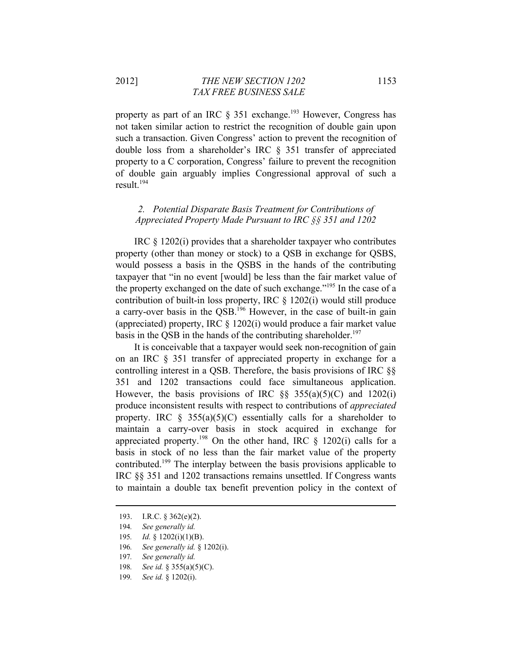property as part of an IRC  $\S$  351 exchange.<sup>193</sup> However, Congress has not taken similar action to restrict the recognition of double gain upon such a transaction. Given Congress' action to prevent the recognition of double loss from a shareholder's IRC § 351 transfer of appreciated property to a C corporation, Congress' failure to prevent the recognition of double gain arguably implies Congressional approval of such a result.<sup>194</sup>

## *2. Potential Disparate Basis Treatment for Contributions of Appreciated Property Made Pursuant to IRC §§ 351 and 1202*

IRC § 1202(i) provides that a shareholder taxpayer who contributes property (other than money or stock) to a QSB in exchange for QSBS, would possess a basis in the QSBS in the hands of the contributing taxpayer that "in no event [would] be less than the fair market value of the property exchanged on the date of such exchange."195 In the case of a contribution of built-in loss property, IRC § 1202(i) would still produce a carry-over basis in the  $\overline{OSB}$ .<sup>196</sup> However, in the case of built-in gain (appreciated) property, IRC § 1202(i) would produce a fair market value basis in the QSB in the hands of the contributing shareholder.<sup>197</sup>

It is conceivable that a taxpayer would seek non-recognition of gain on an IRC § 351 transfer of appreciated property in exchange for a controlling interest in a QSB. Therefore, the basis provisions of IRC §§ 351 and 1202 transactions could face simultaneous application. However, the basis provisions of IRC  $\S$ § 355(a)(5)(C) and 1202(i) produce inconsistent results with respect to contributions of *appreciated* property. IRC  $\hat{\zeta}$  355(a)(5)(C) essentially calls for a shareholder to maintain a carry-over basis in stock acquired in exchange for appreciated property.<sup>198</sup> On the other hand, IRC  $\S$  1202(i) calls for a basis in stock of no less than the fair market value of the property contributed.199 The interplay between the basis provisions applicable to IRC §§ 351 and 1202 transactions remains unsettled. If Congress wants to maintain a double tax benefit prevention policy in the context of

- 195*. Id.* § 1202(i)(1)(B).
- 196*. See generally id.* § 1202(i).
- 197*. See generally id.*
- 198*. See id.* § 355(a)(5)(C).
- 199*. See id.* § 1202(i).

<sup>193.</sup> I.R.C. § 362(e)(2).

<sup>194</sup>*. See generally id.*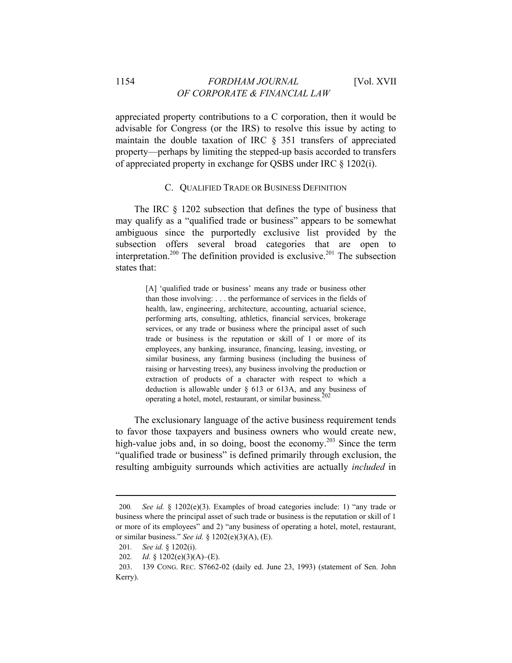appreciated property contributions to a C corporation, then it would be advisable for Congress (or the IRS) to resolve this issue by acting to maintain the double taxation of IRC § 351 transfers of appreciated property—perhaps by limiting the stepped-up basis accorded to transfers of appreciated property in exchange for QSBS under IRC § 1202(i).

#### C. QUALIFIED TRADE OR BUSINESS DEFINITION

The IRC § 1202 subsection that defines the type of business that may qualify as a "qualified trade or business" appears to be somewhat ambiguous since the purportedly exclusive list provided by the subsection offers several broad categories that are open to interpretation.<sup>200</sup> The definition provided is exclusive.<sup>201</sup> The subsection states that:

> [A] 'qualified trade or business' means any trade or business other than those involving: . . . the performance of services in the fields of health, law, engineering, architecture, accounting, actuarial science, performing arts, consulting, athletics, financial services, brokerage services, or any trade or business where the principal asset of such trade or business is the reputation or skill of 1 or more of its employees, any banking, insurance, financing, leasing, investing, or similar business, any farming business (including the business of raising or harvesting trees), any business involving the production or extraction of products of a character with respect to which a deduction is allowable under § 613 or 613A, and any business of operating a hotel, motel, restaurant, or similar business.<sup>2</sup>

The exclusionary language of the active business requirement tends to favor those taxpayers and business owners who would create new, high-value jobs and, in so doing, boost the economy.<sup>203</sup> Since the term "qualified trade or business" is defined primarily through exclusion, the resulting ambiguity surrounds which activities are actually *included* in

<sup>200</sup>*. See id.* § 1202(e)(3). Examples of broad categories include: 1) "any trade or business where the principal asset of such trade or business is the reputation or skill of 1 or more of its employees" and 2) "any business of operating a hotel, motel, restaurant, or similar business." *See id.* § 1202(e)(3)(A), (E).

<sup>201</sup>*. See id.* § 1202(i).

<sup>202</sup>*. Id.* § 1202(e)(3)(A)–(E).

<sup>203. 139</sup> CONG. REC. S7662-02 (daily ed. June 23, 1993) (statement of Sen. John Kerry).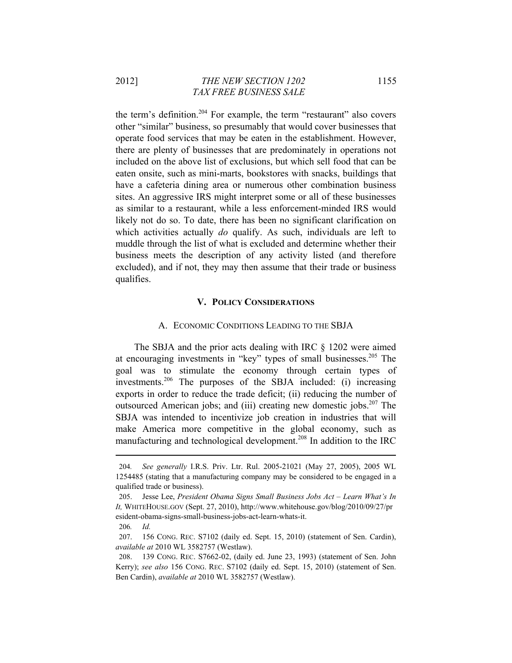2012] *THE NEW SECTION 1202* 1155  *TAX FREE BUSINESS SALE* 

the term's definition.204 For example, the term "restaurant" also covers other "similar" business, so presumably that would cover businesses that operate food services that may be eaten in the establishment. However, there are plenty of businesses that are predominately in operations not included on the above list of exclusions, but which sell food that can be eaten onsite, such as mini-marts, bookstores with snacks, buildings that have a cafeteria dining area or numerous other combination business sites. An aggressive IRS might interpret some or all of these businesses as similar to a restaurant, while a less enforcement-minded IRS would likely not do so. To date, there has been no significant clarification on which activities actually *do* qualify. As such, individuals are left to muddle through the list of what is excluded and determine whether their business meets the description of any activity listed (and therefore excluded), and if not, they may then assume that their trade or business qualifies.

### **V. POLICY CONSIDERATIONS**

#### A. ECONOMIC CONDITIONS LEADING TO THE SBJA

The SBJA and the prior acts dealing with IRC § 1202 were aimed at encouraging investments in "key" types of small businesses.205 The goal was to stimulate the economy through certain types of investments.206 The purposes of the SBJA included: (i) increasing exports in order to reduce the trade deficit; (ii) reducing the number of outsourced American jobs; and (iii) creating new domestic jobs.<sup>207</sup> The SBJA was intended to incentivize job creation in industries that will make America more competitive in the global economy, such as manufacturing and technological development.208 In addition to the IRC

<sup>204</sup>*. See generally* I.R.S. Priv. Ltr. Rul. 2005-21021 (May 27, 2005), 2005 WL 1254485 (stating that a manufacturing company may be considered to be engaged in a qualified trade or business).

<sup>205.</sup> Jesse Lee, *President Obama Signs Small Business Jobs Act – Learn What's In It,* WHITEHOUSE.GOV (Sept. 27, 2010), http://www.whitehouse.gov/blog/2010/09/27/pr esident-obama-signs-small-business-jobs-act-learn-whats-it.

<sup>206</sup>*. Id.*

<sup>207. 156</sup> CONG. REC. S7102 (daily ed. Sept. 15, 2010) (statement of Sen. Cardin), *available at* 2010 WL 3582757 (Westlaw).

<sup>208. 139</sup> CONG. REC. S7662-02, (daily ed. June 23, 1993) (statement of Sen. John Kerry); *see also* 156 CONG. REC. S7102 (daily ed. Sept. 15, 2010) (statement of Sen. Ben Cardin), *available at* 2010 WL 3582757 (Westlaw).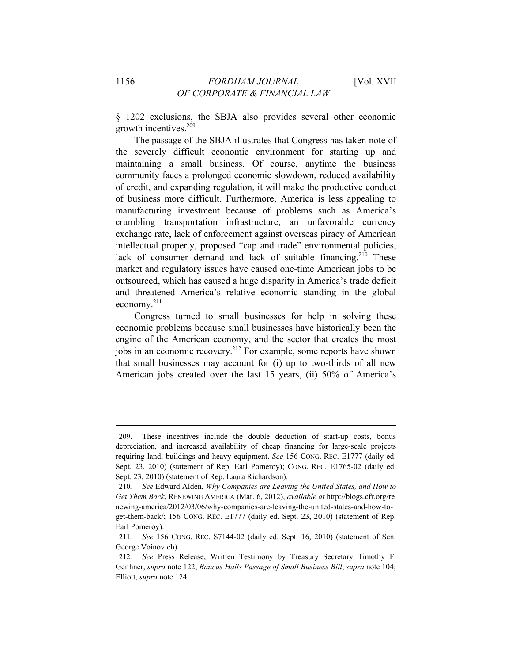§ 1202 exclusions, the SBJA also provides several other economic growth incentives.<sup>209</sup>

The passage of the SBJA illustrates that Congress has taken note of the severely difficult economic environment for starting up and maintaining a small business. Of course, anytime the business community faces a prolonged economic slowdown, reduced availability of credit, and expanding regulation, it will make the productive conduct of business more difficult. Furthermore, America is less appealing to manufacturing investment because of problems such as America's crumbling transportation infrastructure, an unfavorable currency exchange rate, lack of enforcement against overseas piracy of American intellectual property, proposed "cap and trade" environmental policies, lack of consumer demand and lack of suitable financing.<sup>210</sup> These market and regulatory issues have caused one-time American jobs to be outsourced, which has caused a huge disparity in America's trade deficit and threatened America's relative economic standing in the global economy.211

Congress turned to small businesses for help in solving these economic problems because small businesses have historically been the engine of the American economy, and the sector that creates the most jobs in an economic recovery.<sup>212</sup> For example, some reports have shown that small businesses may account for (i) up to two-thirds of all new American jobs created over the last 15 years, (ii) 50% of America's

<sup>209.</sup> These incentives include the double deduction of start-up costs, bonus depreciation, and increased availability of cheap financing for large-scale projects requiring land, buildings and heavy equipment. *See* 156 CONG. REC. E1777 (daily ed. Sept. 23, 2010) (statement of Rep. Earl Pomeroy); CONG. REC. E1765-02 (daily ed. Sept. 23, 2010) (statement of Rep. Laura Richardson).

<sup>210</sup>*. See* Edward Alden, *Why Companies are Leaving the United States, and How to Get Them Back*, RENEWING AMERICA (Mar. 6, 2012), *available at* http://blogs.cfr.org/re newing-america/2012/03/06/why-companies-are-leaving-the-united-states-and-how-toget-them-back/; 156 CONG. REC. E1777 (daily ed. Sept. 23, 2010) (statement of Rep. Earl Pomeroy).

<sup>211</sup>*. See* 156 CONG. REC. S7144-02 (daily ed. Sept. 16, 2010) (statement of Sen. George Voinovich).

<sup>212</sup>*. See* Press Release, Written Testimony by Treasury Secretary Timothy F. Geithner, *supra* note 122; *Baucus Hails Passage of Small Business Bill*, *supra* note 104; Elliott, *supra* note 124.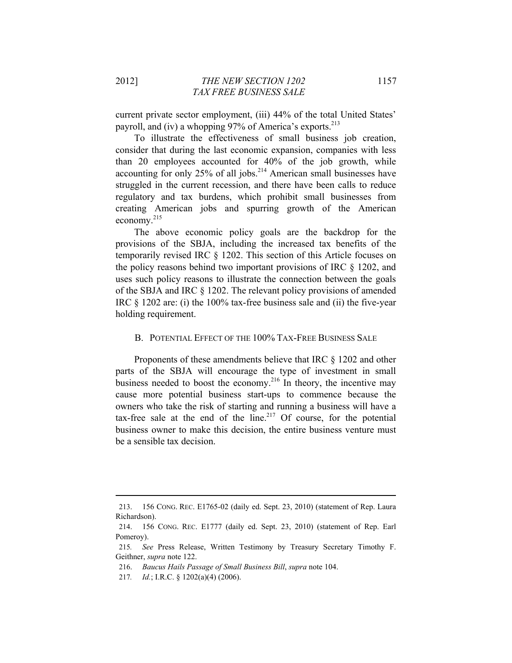current private sector employment, (iii) 44% of the total United States' payroll, and (iv) a whopping 97% of America's exports.<sup>213</sup>

To illustrate the effectiveness of small business job creation, consider that during the last economic expansion, companies with less than 20 employees accounted for 40% of the job growth, while accounting for only 25% of all jobs.<sup>214</sup> American small businesses have struggled in the current recession, and there have been calls to reduce regulatory and tax burdens, which prohibit small businesses from creating American jobs and spurring growth of the American economy.215

The above economic policy goals are the backdrop for the provisions of the SBJA, including the increased tax benefits of the temporarily revised IRC § 1202. This section of this Article focuses on the policy reasons behind two important provisions of IRC § 1202, and uses such policy reasons to illustrate the connection between the goals of the SBJA and IRC § 1202. The relevant policy provisions of amended IRC § 1202 are: (i) the 100% tax-free business sale and (ii) the five-year holding requirement.

#### B. POTENTIAL EFFECT OF THE 100% TAX-FREE BUSINESS SALE

Proponents of these amendments believe that IRC § 1202 and other parts of the SBJA will encourage the type of investment in small business needed to boost the economy.<sup>216</sup> In theory, the incentive may cause more potential business start-ups to commence because the owners who take the risk of starting and running a business will have a tax-free sale at the end of the line.<sup>217</sup> Of course, for the potential business owner to make this decision, the entire business venture must be a sensible tax decision.

<sup>&</sup>lt;u> 1989 - Johann Stein, marwolaethau a bhann an t-Amhain an t-Amhain an t-Amhain an t-Amhain an t-Amhain an t-A</u> 213. 156 CONG. REC. E1765-02 (daily ed. Sept. 23, 2010) (statement of Rep. Laura Richardson).

<sup>214. 156</sup> CONG. REC. E1777 (daily ed. Sept. 23, 2010) (statement of Rep. Earl Pomeroy).

<sup>215</sup>*. See* Press Release, Written Testimony by Treasury Secretary Timothy F. Geithner, *supra* note 122.

<sup>216.</sup> *Baucus Hails Passage of Small Business Bill*, *supra* note 104.

<sup>217</sup>*. Id.*; I.R.C. § 1202(a)(4) (2006).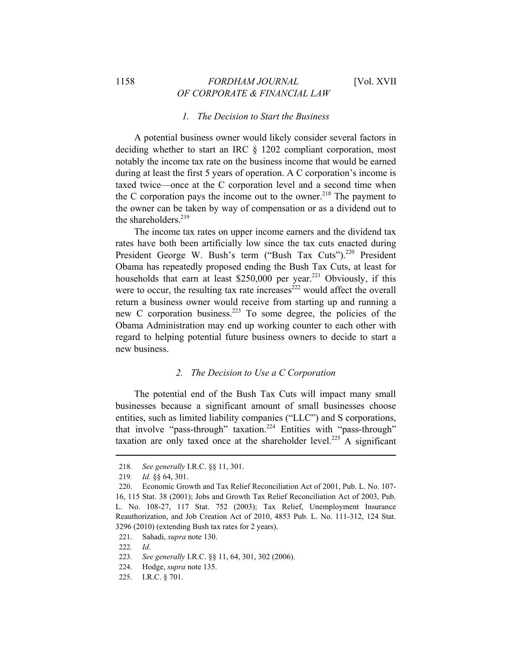## 1158 *FORDHAM JOURNAL* [Vol. XVII *OF CORPORATE & FINANCIAL LAW*

### *1. The Decision to Start the Business*

A potential business owner would likely consider several factors in deciding whether to start an IRC § 1202 compliant corporation, most notably the income tax rate on the business income that would be earned during at least the first 5 years of operation. A C corporation's income is taxed twice—once at the C corporation level and a second time when the C corporation pays the income out to the owner.<sup>218</sup> The payment to the owner can be taken by way of compensation or as a dividend out to the shareholders. $219$ 

The income tax rates on upper income earners and the dividend tax rates have both been artificially low since the tax cuts enacted during President George W. Bush's term ("Bush Tax Cuts").<sup>220</sup> President Obama has repeatedly proposed ending the Bush Tax Cuts, at least for households that earn at least \$250,000 per year.<sup>221</sup> Obviously, if this were to occur, the resulting tax rate increases<sup> $222$ </sup> would affect the overall return a business owner would receive from starting up and running a new C corporation business.223 To some degree, the policies of the Obama Administration may end up working counter to each other with regard to helping potential future business owners to decide to start a new business.

## *2. The Decision to Use a C Corporation*

The potential end of the Bush Tax Cuts will impact many small businesses because a significant amount of small businesses choose entities, such as limited liability companies ("LLC") and S corporations, that involve "pass-through" taxation.224 Entities with "pass-through" taxation are only taxed once at the shareholder level.<sup>225</sup> A significant

<sup>218</sup>*. See generally* I.R.C. §§ 11, 301.

<sup>219</sup>*. Id.* §§ 64, 301.

<sup>220.</sup> Economic Growth and Tax Relief Reconciliation Act of 2001, Pub. L. No. 107- 16, 115 Stat. 38 (2001); Jobs and Growth Tax Relief Reconciliation Act of 2003, Pub. L. No. 108-27, 117 Stat. 752 (2003); Tax Relief, Unemployment Insurance Reauthorization, and Job Creation Act of 2010, 4853 Pub. L. No. 111-312, 124 Stat. 3296 (2010) (extending Bush tax rates for 2 years).

<sup>221.</sup> Sahadi, *supra* note 130.

<sup>222</sup>*. Id.*

<sup>223</sup>*. See generally* I.R.C. §§ 11, 64, 301, 302 (2006).

<sup>224.</sup> Hodge, *supra* note 135.

<sup>225.</sup> I.R.C. § 701.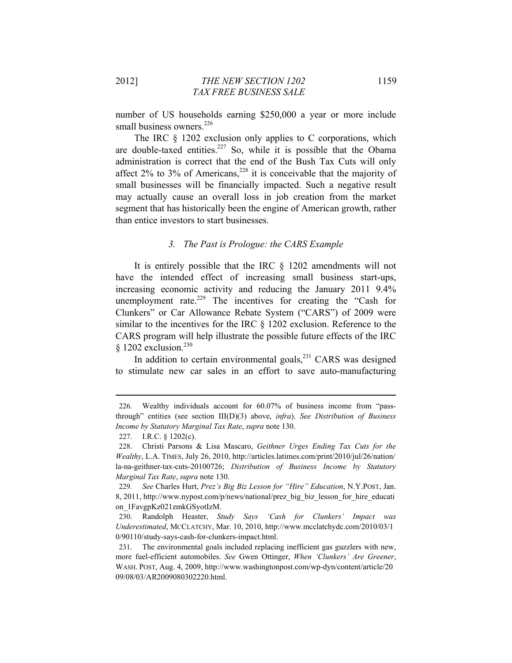number of US households earning \$250,000 a year or more include small business owners.<sup>226</sup>

The IRC § 1202 exclusion only applies to C corporations, which are double-taxed entities.<sup>227</sup> So, while it is possible that the Obama administration is correct that the end of the Bush Tax Cuts will only affect  $2\%$  to  $3\%$  of Americans,<sup>228</sup> it is conceivable that the majority of small businesses will be financially impacted. Such a negative result may actually cause an overall loss in job creation from the market segment that has historically been the engine of American growth, rather than entice investors to start businesses.

## *3. The Past is Prologue: the CARS Example*

It is entirely possible that the IRC § 1202 amendments will not have the intended effect of increasing small business start-ups, increasing economic activity and reducing the January 2011 9.4% unemployment rate.<sup>229</sup> The incentives for creating the "Cash for Clunkers" or Car Allowance Rebate System ("CARS") of 2009 were similar to the incentives for the IRC § 1202 exclusion. Reference to the CARS program will help illustrate the possible future effects of the IRC  $§$  1202 exclusion.<sup>230</sup>

In addition to certain environmental goals, $^{231}$  CARS was designed to stimulate new car sales in an effort to save auto-manufacturing

<sup>226.</sup> Wealthy individuals account for 60.07% of business income from "passthrough" entities (see section III(D)(3) above, *infra*). *See Distribution of Business Income by Statutory Marginal Tax Rate*, *supra* note 130.

<sup>227.</sup> I.R.C. § 1202(c).

<sup>228.</sup> Christi Parsons & Lisa Mascaro, *Geithner Urges Ending Tax Cuts for the Wealthy*, L.A. TIMES, July 26, 2010, http://articles.latimes.com/print/2010/jul/26/nation/ la-na-geithner-tax-cuts-20100726; *Distribution of Business Income by Statutory Marginal Tax Rate*, *supra* note 130.

<sup>229</sup>*. See* Charles Hurt, *Prez's Big Biz Lesson for "Hire" Education*, N.Y.POST, Jan. 8, 2011, http://www.nypost.com/p/news/national/prez\_big\_biz\_lesson\_for\_hire\_educati on\_1FavgpKz021zmkGSyotIzM.

<sup>230.</sup> Randolph Heaster, *Study Says 'Cash for Clunkers' Impact was Underestimated*, MCCLATCHY, Mar. 10, 2010, http://www.mcclatchydc.com/2010/03/1 0/90110/study-says-cash-for-clunkers-impact.html.

<sup>231.</sup> The environmental goals included replacing inefficient gas guzzlers with new, more fuel-efficient automobiles. *See* Gwen Ottinger, *When 'Clunkers' Are Greener*, WASH. POST, Aug. 4, 2009, http://www.washingtonpost.com/wp-dyn/content/article/20 09/08/03/AR2009080302220.html.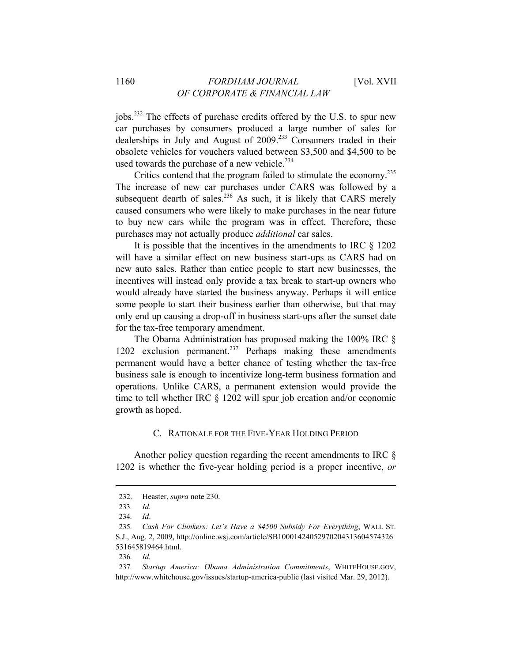jobs.232 The effects of purchase credits offered by the U.S. to spur new car purchases by consumers produced a large number of sales for dealerships in July and August of 2009.<sup>233</sup> Consumers traded in their obsolete vehicles for vouchers valued between \$3,500 and \$4,500 to be used towards the purchase of a new vehicle. $234$ 

Critics contend that the program failed to stimulate the economy.<sup>235</sup> The increase of new car purchases under CARS was followed by a subsequent dearth of sales.<sup>236</sup> As such, it is likely that CARS merely caused consumers who were likely to make purchases in the near future to buy new cars while the program was in effect. Therefore, these purchases may not actually produce *additional* car sales.

It is possible that the incentives in the amendments to IRC § 1202 will have a similar effect on new business start-ups as CARS had on new auto sales. Rather than entice people to start new businesses, the incentives will instead only provide a tax break to start-up owners who would already have started the business anyway. Perhaps it will entice some people to start their business earlier than otherwise, but that may only end up causing a drop-off in business start-ups after the sunset date for the tax-free temporary amendment.

The Obama Administration has proposed making the 100% IRC § 1202 exclusion permanent.<sup>237</sup> Perhaps making these amendments permanent would have a better chance of testing whether the tax-free business sale is enough to incentivize long-term business formation and operations. Unlike CARS, a permanent extension would provide the time to tell whether IRC § 1202 will spur job creation and/or economic growth as hoped.

## C. RATIONALE FOR THE FIVE-YEAR HOLDING PERIOD

Another policy question regarding the recent amendments to IRC § 1202 is whether the five-year holding period is a proper incentive, *or*

<sup>232.</sup> Heaster, *supra* note 230.

<sup>233</sup>*. Id.*

<sup>234</sup>*. Id*.

<sup>235</sup>*. Cash For Clunkers: Let's Have a \$4500 Subsidy For Everything*, WALL ST. S.J., Aug. 2, 2009, http://online.wsj.com/article/SB10001424052970204313604574326 531645819464.html.

<sup>236</sup>*. Id.*

<sup>237</sup>*. Startup America: Obama Administration Commitments*, WHITEHOUSE.GOV, http://www.whitehouse.gov/issues/startup-america-public (last visited Mar. 29, 2012).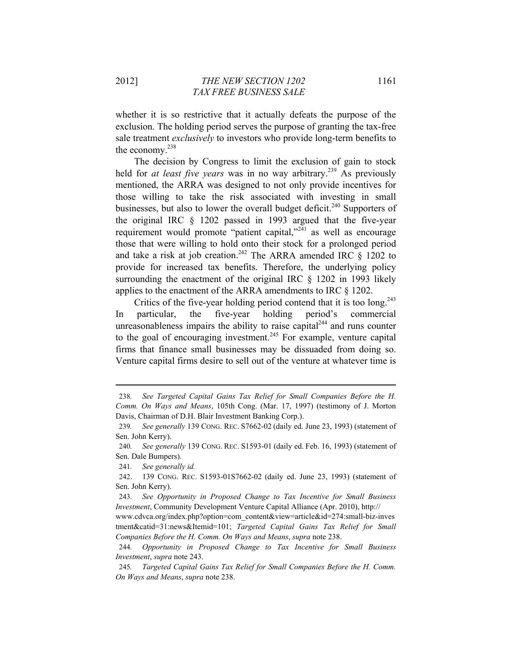whether it is so restrictive that it actually defeats the purpose of the exclusion. The holding period serves the purpose of granting the tax-free sale treatment *exclusively* to investors who provide long-term benefits to the economy.238

The decision by Congress to limit the exclusion of gain to stock held for *at least five years* was in no way arbitrary.<sup>239</sup> As previously mentioned, the ARRA was designed to not only provide incentives for those willing to take the risk associated with investing in small businesses, but also to lower the overall budget deficit.<sup>240</sup> Supporters of the original IRC § 1202 passed in 1993 argued that the five-year requirement would promote "patient capital,"<sup>241</sup> as well as encourage those that were willing to hold onto their stock for a prolonged period and take a risk at job creation.<sup>242</sup> The ARRA amended IRC  $\S$  1202 to provide for increased tax benefits. Therefore, the underlying policy surrounding the enactment of the original IRC § 1202 in 1993 likely applies to the enactment of the ARRA amendments to IRC § 1202.

Critics of the five-year holding period contend that it is too long. $243$ In particular, the five-year holding period's commercial unreasonableness impairs the ability to raise capital $1^{244}$  and runs counter to the goal of encouraging investment.<sup>245</sup> For example, venture capital firms that finance small businesses may be dissuaded from doing so. Venture capital firms desire to sell out of the venture at whatever time is

<sup>238</sup>*. See Targeted Capital Gains Tax Relief for Small Companies Before the H. Comm. On Ways and Means*, 105th Cong. (Mar. 17, 1997) (testimony of J. Morton Davis, Chairman of D.H. Blair Investment Banking Corp.).

<sup>239</sup>*. See generally* 139 CONG. REC. S7662-02 (daily ed. June 23, 1993) (statement of Sen. John Kerry).

<sup>240</sup>*. See generally* 139 CONG. REC. S1593-01 (daily ed. Feb. 16, 1993) (statement of Sen. Dale Bumpers).

<sup>241</sup>*. See generally id.*

<sup>242. 139</sup> CONG. REC. S1593-01S7662-02 (daily ed. June 23, 1993) (statement of Sen. John Kerry).

<sup>243</sup>*. See Opportunity in Proposed Change to Tax Incentive for Small Business Investment*, Community Development Venture Capital Alliance (Apr. 2010), http://

www.cdvca.org/index.php?option=com\_content&view=article&id=274:small-biz-inves tment&catid=31:news&Itemid=101; *Targeted Capital Gains Tax Relief for Small Companies Before the H. Comm. On Ways and Means*, *supra* note 238.

<sup>244</sup>*. Opportunity in Proposed Change to Tax Incentive for Small Business Investment*, *supra* note 243.

<sup>245</sup>*. Targeted Capital Gains Tax Relief for Small Companies Before the H. Comm. On Ways and Means*, *supra* note 238.